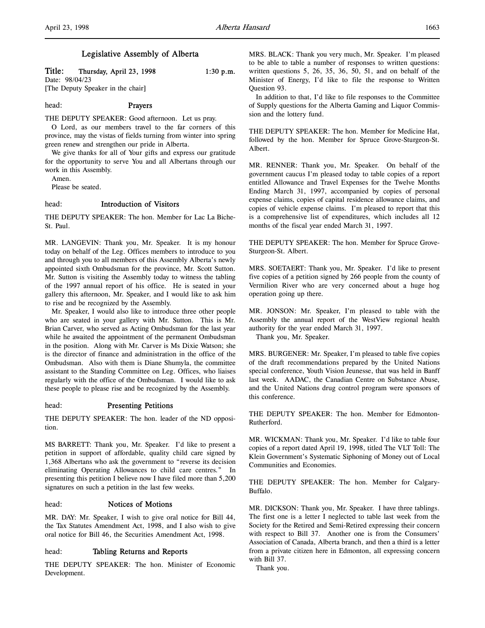Title: Thursday, April 23, 1998 1:30 p.m.

Date: 98/04/23 [The Deputy Speaker in the chair]

# head: Prayers

THE DEPUTY SPEAKER: Good afternoon. Let us pray.

O Lord, as our members travel to the far corners of this province, may the vistas of fields turning from winter into spring green renew and strengthen our pride in Alberta.

We give thanks for all of Your gifts and express our gratitude for the opportunity to serve You and all Albertans through our work in this Assembly.

Amen.

Please be seated.

# head: Introduction of Visitors

THE DEPUTY SPEAKER: The hon. Member for Lac La Biche-St. Paul.

MR. LANGEVIN: Thank you, Mr. Speaker. It is my honour today on behalf of the Leg. Offices members to introduce to you and through you to all members of this Assembly Alberta's newly appointed sixth Ombudsman for the province, Mr. Scott Sutton. Mr. Sutton is visiting the Assembly today to witness the tabling of the 1997 annual report of his office. He is seated in your gallery this afternoon, Mr. Speaker, and I would like to ask him to rise and be recognized by the Assembly.

Mr. Speaker, I would also like to introduce three other people who are seated in your gallery with Mr. Sutton. This is Mr. Brian Carver, who served as Acting Ombudsman for the last year while he awaited the appointment of the permanent Ombudsman in the position. Along with Mr. Carver is Ms Dixie Watson; she is the director of finance and administration in the office of the Ombudsman. Also with them is Diane Shumyla, the committee assistant to the Standing Committee on Leg. Offices, who liaises regularly with the office of the Ombudsman. I would like to ask these people to please rise and be recognized by the Assembly.

### head: Presenting Petitions

THE DEPUTY SPEAKER: The hon. leader of the ND opposition.

MS BARRETT: Thank you, Mr. Speaker. I'd like to present a petition in support of affordable, quality child care signed by 1,368 Albertans who ask the government to "reverse its decision eliminating Operating Allowances to child care centres." In presenting this petition I believe now I have filed more than 5,200 signatures on such a petition in the last few weeks.

#### head: Notices of Motions

MR. DAY: Mr. Speaker, I wish to give oral notice for Bill 44, the Tax Statutes Amendment Act, 1998, and I also wish to give oral notice for Bill 46, the Securities Amendment Act, 1998.

#### head: Tabling Returns and Reports

THE DEPUTY SPEAKER: The hon. Minister of Economic Development.

MRS. BLACK: Thank you very much, Mr. Speaker. I'm pleased to be able to table a number of responses to written questions: written questions 5, 26, 35, 36, 50, 51, and on behalf of the Minister of Energy, I'd like to file the response to Written Question 93.

In addition to that, I'd like to file responses to the Committee of Supply questions for the Alberta Gaming and Liquor Commission and the lottery fund.

THE DEPUTY SPEAKER: The hon. Member for Medicine Hat, followed by the hon. Member for Spruce Grove-Sturgeon-St. Albert.

MR. RENNER: Thank you, Mr. Speaker. On behalf of the government caucus I'm pleased today to table copies of a report entitled Allowance and Travel Expenses for the Twelve Months Ending March 31, 1997, accompanied by copies of personal expense claims, copies of capital residence allowance claims, and copies of vehicle expense claims. I'm pleased to report that this is a comprehensive list of expenditures, which includes all 12 months of the fiscal year ended March 31, 1997.

THE DEPUTY SPEAKER: The hon. Member for Spruce Grove-Sturgeon-St. Albert.

MRS. SOETAERT: Thank you, Mr. Speaker. I'd like to present five copies of a petition signed by 266 people from the county of Vermilion River who are very concerned about a huge hog operation going up there.

MR. JONSON: Mr. Speaker, I'm pleased to table with the Assembly the annual report of the WestView regional health authority for the year ended March 31, 1997.

Thank you, Mr. Speaker.

MRS. BURGENER: Mr. Speaker, I'm pleased to table five copies of the draft recommendations prepared by the United Nations special conference, Youth Vision Jeunesse, that was held in Banff last week. AADAC, the Canadian Centre on Substance Abuse, and the United Nations drug control program were sponsors of this conference.

THE DEPUTY SPEAKER: The hon. Member for Edmonton-Rutherford.

MR. WICKMAN: Thank you, Mr. Speaker. I'd like to table four copies of a report dated April 19, 1998, titled The VLT Toll: The Klein Government's Systematic Siphoning of Money out of Local Communities and Economies.

THE DEPUTY SPEAKER: The hon. Member for Calgary-Buffalo.

MR. DICKSON: Thank you, Mr. Speaker. I have three tablings. The first one is a letter I neglected to table last week from the Society for the Retired and Semi-Retired expressing their concern with respect to Bill 37. Another one is from the Consumers' Association of Canada, Alberta branch, and then a third is a letter from a private citizen here in Edmonton, all expressing concern with Bill 37.

Thank you.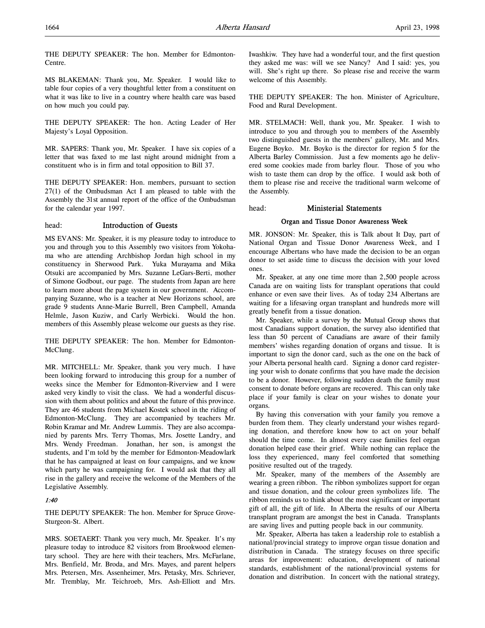THE DEPUTY SPEAKER: The hon. Member for Edmonton-Centre.

MS BLAKEMAN: Thank you, Mr. Speaker. I would like to table four copies of a very thoughtful letter from a constituent on what it was like to live in a country where health care was based on how much you could pay.

THE DEPUTY SPEAKER: The hon. Acting Leader of Her Majesty's Loyal Opposition.

MR. SAPERS: Thank you, Mr. Speaker. I have six copies of a letter that was faxed to me last night around midnight from a constituent who is in firm and total opposition to Bill 37.

THE DEPUTY SPEAKER: Hon. members, pursuant to section 27(1) of the Ombudsman Act I am pleased to table with the Assembly the 31st annual report of the office of the Ombudsman for the calendar year 1997.

### head: Introduction of Guests

MS EVANS: Mr. Speaker, it is my pleasure today to introduce to you and through you to this Assembly two visitors from Yokohama who are attending Archbishop Jordan high school in my constituency in Sherwood Park. Yuka Murayama and Mika Otsuki are accompanied by Mrs. Suzanne LeGars-Berti, mother of Simone Godbout, our page. The students from Japan are here to learn more about the page system in our government. Accompanying Suzanne, who is a teacher at New Horizons school, are grade 9 students Anne-Marie Burrell, Bren Campbell, Amanda Helmle, Jason Kuziw, and Carly Werbicki. Would the hon. members of this Assembly please welcome our guests as they rise.

THE DEPUTY SPEAKER: The hon. Member for Edmonton-McClung.

MR. MITCHELL: Mr. Speaker, thank you very much. I have been looking forward to introducing this group for a number of weeks since the Member for Edmonton-Riverview and I were asked very kindly to visit the class. We had a wonderful discussion with them about politics and about the future of this province. They are 46 students from Michael Kostek school in the riding of Edmonton-McClung. They are accompanied by teachers Mr. Robin Kramar and Mr. Andrew Lummis. They are also accompanied by parents Mrs. Terry Thomas, Mrs. Josette Landry, and Mrs. Wendy Freedman. Jonathan, her son, is amongst the students, and I'm told by the member for Edmonton-Meadowlark that he has campaigned at least on four campaigns, and we know which party he was campaigning for. I would ask that they all rise in the gallery and receive the welcome of the Members of the Legislative Assembly.

### 1:40

THE DEPUTY SPEAKER: The hon. Member for Spruce Grove-Sturgeon-St. Albert.

MRS. SOETAERT: Thank you very much, Mr. Speaker. It's my pleasure today to introduce 82 visitors from Brookwood elementary school. They are here with their teachers, Mrs. McFarlane, Mrs. Benfield, Mr. Broda, and Mrs. Mayes, and parent helpers Mrs. Petersen, Mrs. Assenheimer, Mrs. Petasky, Mrs. Schriever, Mr. Tremblay, Mr. Teichroeb, Mrs. Ash-Elliott and Mrs.

Iwashkiw. They have had a wonderful tour, and the first question they asked me was: will we see Nancy? And I said: yes, you will. She's right up there. So please rise and receive the warm welcome of this Assembly.

THE DEPUTY SPEAKER: The hon. Minister of Agriculture, Food and Rural Development.

MR. STELMACH: Well, thank you, Mr. Speaker. I wish to introduce to you and through you to members of the Assembly two distinguished guests in the members' gallery, Mr. and Mrs. Eugene Boyko. Mr. Boyko is the director for region 5 for the Alberta Barley Commission. Just a few moments ago he delivered some cookies made from barley flour. Those of you who wish to taste them can drop by the office. I would ask both of them to please rise and receive the traditional warm welcome of the Assembly.

### head: Ministerial Statements

### Organ and Tissue Donor Awareness Week

MR. JONSON: Mr. Speaker, this is Talk about It Day, part of National Organ and Tissue Donor Awareness Week, and I encourage Albertans who have made the decision to be an organ donor to set aside time to discuss the decision with your loved ones.

Mr. Speaker, at any one time more than 2,500 people across Canada are on waiting lists for transplant operations that could enhance or even save their lives. As of today 234 Albertans are waiting for a lifesaving organ transplant and hundreds more will greatly benefit from a tissue donation.

Mr. Speaker, while a survey by the Mutual Group shows that most Canadians support donation, the survey also identified that less than 50 percent of Canadians are aware of their family members' wishes regarding donation of organs and tissue. It is important to sign the donor card, such as the one on the back of your Alberta personal health card. Signing a donor card registering your wish to donate confirms that you have made the decision to be a donor. However, following sudden death the family must consent to donate before organs are recovered. This can only take place if your family is clear on your wishes to donate your organs.

By having this conversation with your family you remove a burden from them. They clearly understand your wishes regarding donation, and therefore know how to act on your behalf should the time come. In almost every case families feel organ donation helped ease their grief. While nothing can replace the loss they experienced, many feel comforted that something positive resulted out of the tragedy.

Mr. Speaker, many of the members of the Assembly are wearing a green ribbon. The ribbon symbolizes support for organ and tissue donation, and the colour green symbolizes life. The ribbon reminds us to think about the most significant or important gift of all, the gift of life. In Alberta the results of our Alberta transplant program are amongst the best in Canada. Transplants are saving lives and putting people back in our community.

Mr. Speaker, Alberta has taken a leadership role to establish a national/provincial strategy to improve organ tissue donation and distribution in Canada. The strategy focuses on three specific areas for improvement: education, development of national standards, establishment of the national/provincial systems for donation and distribution. In concert with the national strategy,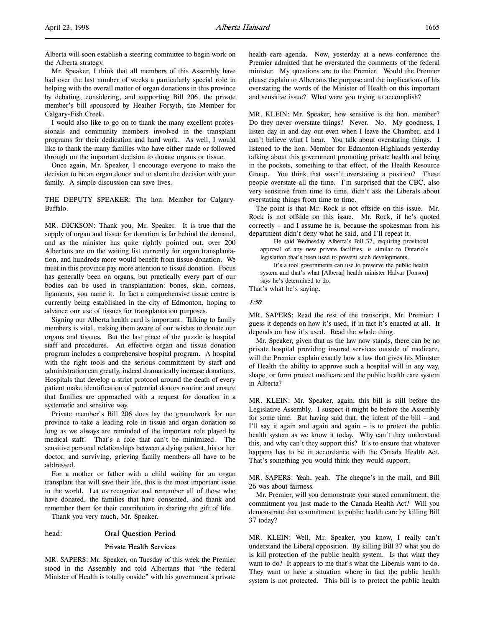Alberta will soon establish a steering committee to begin work on the Alberta strategy.

Mr. Speaker, I think that all members of this Assembly have had over the last number of weeks a particularly special role in helping with the overall matter of organ donations in this province by debating, considering, and supporting Bill 206, the private member's bill sponsored by Heather Forsyth, the Member for Calgary-Fish Creek.

I would also like to go on to thank the many excellent professionals and community members involved in the transplant programs for their dedication and hard work. As well, I would like to thank the many families who have either made or followed through on the important decision to donate organs or tissue.

Once again, Mr. Speaker, I encourage everyone to make the decision to be an organ donor and to share the decision with your family. A simple discussion can save lives.

THE DEPUTY SPEAKER: The hon. Member for Calgary-Buffalo.

MR. DICKSON: Thank you, Mr. Speaker. It is true that the supply of organ and tissue for donation is far behind the demand, and as the minister has quite rightly pointed out, over 200 Albertans are on the waiting list currently for organ transplantation, and hundreds more would benefit from tissue donation. We must in this province pay more attention to tissue donation. Focus has generally been on organs, but practically every part of our bodies can be used in transplantation: bones, skin, corneas, ligaments, you name it. In fact a comprehensive tissue centre is currently being established in the city of Edmonton, hoping to advance our use of tissues for transplantation purposes.

Signing our Alberta health card is important. Talking to family members is vital, making them aware of our wishes to donate our organs and tissues. But the last piece of the puzzle is hospital staff and procedures. An effective organ and tissue donation program includes a comprehensive hospital program. A hospital with the right tools and the serious commitment by staff and administration can greatly, indeed dramatically increase donations. Hospitals that develop a strict protocol around the death of every patient make identification of potential donors routine and ensure that families are approached with a request for donation in a systematic and sensitive way.

Private member's Bill 206 does lay the groundwork for our province to take a leading role in tissue and organ donation so long as we always are reminded of the important role played by medical staff. That's a role that can't be minimized. The sensitive personal relationships between a dying patient, his or her doctor, and surviving, grieving family members all have to be addressed.

For a mother or father with a child waiting for an organ transplant that will save their life, this is the most important issue in the world. Let us recognize and remember all of those who have donated, the families that have consented, and thank and remember them for their contribution in sharing the gift of life.

Thank you very much, Mr. Speaker.

#### head: Oral Question Period

#### Private Health Services

MR. SAPERS: Mr. Speaker, on Tuesday of this week the Premier stood in the Assembly and told Albertans that "the federal Minister of Health is totally onside" with his government's private health care agenda. Now, yesterday at a news conference the Premier admitted that he overstated the comments of the federal minister. My questions are to the Premier. Would the Premier please explain to Albertans the purpose and the implications of his overstating the words of the Minister of Health on this important and sensitive issue? What were you trying to accomplish?

MR. KLEIN: Mr. Speaker, how sensitive is the hon. member? Do they never overstate things? Never. No. My goodness, I listen day in and day out even when I leave the Chamber, and I can't believe what I hear. You talk about overstating things. I listened to the hon. Member for Edmonton-Highlands yesterday talking about this government promoting private health and being in the pockets, something to that effect, of the Health Resource Group. You think that wasn't overstating a position? These people overstate all the time. I'm surprised that the CBC, also very sensitive from time to time, didn't ask the Liberals about overstating things from time to time.

The point is that Mr. Rock is not offside on this issue. Mr. Rock is not offside on this issue. Mr. Rock, if he's quoted correctly – and I assume he is, because the spokesman from his department didn't deny what he said, and I'll repeat it.

He said Wednesday Alberta's Bill 37, requiring provincial approval of any new private facilities, is similar to Ontario's legislation that's been used to prevent such developments.

It's a tool governments can use to preserve the public health system and that's what [Alberta] health minister Halvar [Jonson] says he's determined to do.

That's what he's saying.

#### 1:50

MR. SAPERS: Read the rest of the transcript, Mr. Premier: I guess it depends on how it's used, if in fact it's enacted at all. It depends on how it's used. Read the whole thing.

Mr. Speaker, given that as the law now stands, there can be no private hospital providing insured services outside of medicare, will the Premier explain exactly how a law that gives his Minister of Health the ability to approve such a hospital will in any way, shape, or form protect medicare and the public health care system in Alberta?

MR. KLEIN: Mr. Speaker, again, this bill is still before the Legislative Assembly. I suspect it might be before the Assembly for some time. But having said that, the intent of the bill – and I'll say it again and again and again – is to protect the public health system as we know it today. Why can't they understand this, and why can't they support this? It's to ensure that whatever happens has to be in accordance with the Canada Health Act. That's something you would think they would support.

MR. SAPERS: Yeah, yeah. The cheque's in the mail, and Bill 26 was about fairness.

Mr. Premier, will you demonstrate your stated commitment, the commitment you just made to the Canada Health Act? Will you demonstrate that commitment to public health care by killing Bill 37 today?

MR. KLEIN: Well, Mr. Speaker, you know, I really can't understand the Liberal opposition. By killing Bill 37 what you do is kill protection of the public health system. Is that what they want to do? It appears to me that's what the Liberals want to do. They want to have a situation where in fact the public health system is not protected. This bill is to protect the public health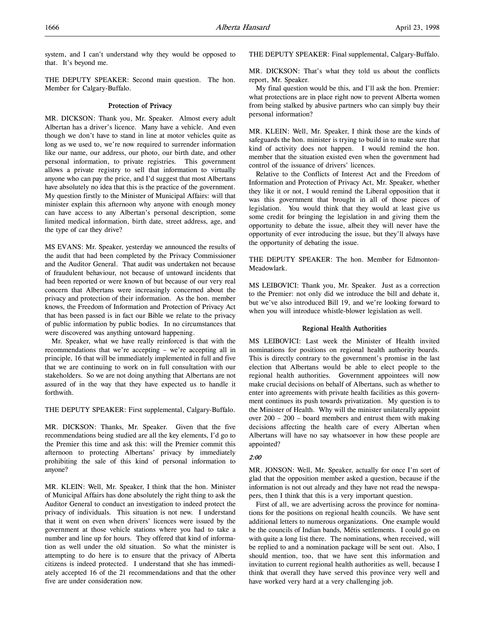system, and I can't understand why they would be opposed to that. It's beyond me.

THE DEPUTY SPEAKER: Second main question. The hon. Member for Calgary-Buffalo.

## Protection of Privacy

MR. DICKSON: Thank you, Mr. Speaker. Almost every adult Albertan has a driver's licence. Many have a vehicle. And even though we don't have to stand in line at motor vehicles quite as long as we used to, we're now required to surrender information like our name, our address, our photo, our birth date, and other personal information, to private registries. This government allows a private registry to sell that information to virtually anyone who can pay the price, and I'd suggest that most Albertans have absolutely no idea that this is the practice of the government. My question firstly to the Minister of Municipal Affairs: will that minister explain this afternoon why anyone with enough money can have access to any Albertan's personal description, some limited medical information, birth date, street address, age, and the type of car they drive?

MS EVANS: Mr. Speaker, yesterday we announced the results of the audit that had been completed by the Privacy Commissioner and the Auditor General. That audit was undertaken not because of fraudulent behaviour, not because of untoward incidents that had been reported or were known of but because of our very real concern that Albertans were increasingly concerned about the privacy and protection of their information. As the hon. member knows, the Freedom of Information and Protection of Privacy Act that has been passed is in fact our Bible we relate to the privacy of public information by public bodies. In no circumstances that were discovered was anything untoward happening.

Mr. Speaker, what we have really reinforced is that with the recommendations that we're accepting – we're accepting all in principle, 16 that will be immediately implemented in full and five that we are continuing to work on in full consultation with our stakeholders. So we are not doing anything that Albertans are not assured of in the way that they have expected us to handle it forthwith.

THE DEPUTY SPEAKER: First supplemental, Calgary-Buffalo.

MR. DICKSON: Thanks, Mr. Speaker. Given that the five recommendations being studied are all the key elements, I'd go to the Premier this time and ask this: will the Premier commit this afternoon to protecting Albertans' privacy by immediately prohibiting the sale of this kind of personal information to anyone?

MR. KLEIN: Well, Mr. Speaker, I think that the hon. Minister of Municipal Affairs has done absolutely the right thing to ask the Auditor General to conduct an investigation to indeed protect the privacy of individuals. This situation is not new. I understand that it went on even when drivers' licences were issued by the government at those vehicle stations where you had to take a number and line up for hours. They offered that kind of information as well under the old situation. So what the minister is attempting to do here is to ensure that the privacy of Alberta citizens is indeed protected. I understand that she has immediately accepted 16 of the 21 recommendations and that the other five are under consideration now.

THE DEPUTY SPEAKER: Final supplemental, Calgary-Buffalo.

MR. DICKSON: That's what they told us about the conflicts report, Mr. Speaker.

My final question would be this, and I'll ask the hon. Premier: what protections are in place right now to prevent Alberta women from being stalked by abusive partners who can simply buy their personal information?

MR. KLEIN: Well, Mr. Speaker, I think those are the kinds of safeguards the hon. minister is trying to build in to make sure that kind of activity does not happen. I would remind the hon. member that the situation existed even when the government had control of the issuance of drivers' licences.

Relative to the Conflicts of Interest Act and the Freedom of Information and Protection of Privacy Act, Mr. Speaker, whether they like it or not, I would remind the Liberal opposition that it was this government that brought in all of those pieces of legislation. You would think that they would at least give us some credit for bringing the legislation in and giving them the opportunity to debate the issue, albeit they will never have the opportunity of ever introducing the issue, but they'll always have the opportunity of debating the issue.

THE DEPUTY SPEAKER: The hon. Member for Edmonton-Meadowlark.

MS LEIBOVICI: Thank you, Mr. Speaker. Just as a correction to the Premier: not only did we introduce the bill and debate it, but we've also introduced Bill 19, and we're looking forward to when you will introduce whistle-blower legislation as well.

#### Regional Health Authorities

MS LEIBOVICI: Last week the Minister of Health invited nominations for positions on regional health authority boards. This is directly contrary to the government's promise in the last election that Albertans would be able to elect people to the regional health authorities. Government appointees will now make crucial decisions on behalf of Albertans, such as whether to enter into agreements with private health facilities as this government continues its push towards privatization. My question is to the Minister of Health. Why will the minister unilaterally appoint over 200 – 200 – board members and entrust them with making decisions affecting the health care of every Albertan when Albertans will have no say whatsoever in how these people are appointed?

# 2:00

MR. JONSON: Well, Mr. Speaker, actually for once I'm sort of glad that the opposition member asked a question, because if the information is not out already and they have not read the newspapers, then I think that this is a very important question.

First of all, we are advertising across the province for nominations for the positions on regional health councils. We have sent additional letters to numerous organizations. One example would be the councils of Indian bands, Métis settlements. I could go on with quite a long list there. The nominations, when received, will be replied to and a nomination package will be sent out. Also, I should mention, too, that we have sent this information and invitation to current regional health authorities as well, because I think that overall they have served this province very well and have worked very hard at a very challenging job.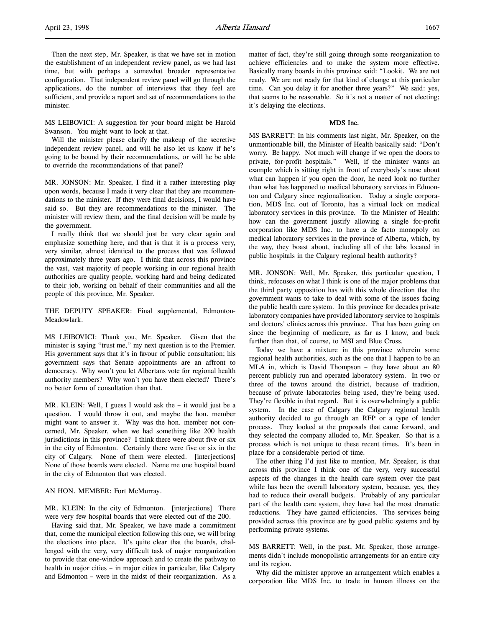Then the next step, Mr. Speaker, is that we have set in motion the establishment of an independent review panel, as we had last time, but with perhaps a somewhat broader representative configuration. That independent review panel will go through the applications, do the number of interviews that they feel are sufficient, and provide a report and set of recommendations to the minister.

MS LEIBOVICI: A suggestion for your board might be Harold Swanson. You might want to look at that.

Will the minister please clarify the makeup of the secretive independent review panel, and will he also let us know if he's going to be bound by their recommendations, or will he be able to override the recommendations of that panel?

MR. JONSON: Mr. Speaker, I find it a rather interesting play upon words, because I made it very clear that they are recommendations to the minister. If they were final decisions, I would have said so. But they are recommendations to the minister. The minister will review them, and the final decision will be made by the government.

I really think that we should just be very clear again and emphasize something here, and that is that it is a process very, very similar, almost identical to the process that was followed approximately three years ago. I think that across this province the vast, vast majority of people working in our regional health authorities are quality people, working hard and being dedicated to their job, working on behalf of their communities and all the people of this province, Mr. Speaker.

THE DEPUTY SPEAKER: Final supplemental, Edmonton-Meadowlark.

MS LEIBOVICI: Thank you, Mr. Speaker. Given that the minister is saying "trust me," my next question is to the Premier. His government says that it's in favour of public consultation; his government says that Senate appointments are an affront to democracy. Why won't you let Albertans vote for regional health authority members? Why won't you have them elected? There's no better form of consultation than that.

MR. KLEIN: Well, I guess I would ask the – it would just be a question. I would throw it out, and maybe the hon. member might want to answer it. Why was the hon. member not concerned, Mr. Speaker, when we had something like 200 health jurisdictions in this province? I think there were about five or six in the city of Edmonton. Certainly there were five or six in the city of Calgary. None of them were elected. [interjections] None of those boards were elected. Name me one hospital board in the city of Edmonton that was elected.

#### AN HON. MEMBER: Fort McMurray.

MR. KLEIN: In the city of Edmonton. [interjections] There were very few hospital boards that were elected out of the 200.

Having said that, Mr. Speaker, we have made a commitment that, come the municipal election following this one, we will bring the elections into place. It's quite clear that the boards, challenged with the very, very difficult task of major reorganization to provide that one-window approach and to create the pathway to health in major cities – in major cities in particular, like Calgary and Edmonton – were in the midst of their reorganization. As a matter of fact, they're still going through some reorganization to achieve efficiencies and to make the system more effective. Basically many boards in this province said: "Lookit. We are not ready. We are not ready for that kind of change at this particular time. Can you delay it for another three years?" We said: yes, that seems to be reasonable. So it's not a matter of not electing; it's delaying the elections.

## MDS Inc.

MS BARRETT: In his comments last night, Mr. Speaker, on the unmentionable bill, the Minister of Health basically said: "Don't worry. Be happy. Not much will change if we open the doors to private, for-profit hospitals." Well, if the minister wants an example which is sitting right in front of everybody's nose about what can happen if you open the door, he need look no further than what has happened to medical laboratory services in Edmonton and Calgary since regionalization. Today a single corporation, MDS Inc. out of Toronto, has a virtual lock on medical laboratory services in this province. To the Minister of Health: how can the government justify allowing a single for-profit corporation like MDS Inc. to have a de facto monopoly on medical laboratory services in the province of Alberta, which, by the way, they boast about, including all of the labs located in public hospitals in the Calgary regional health authority?

MR. JONSON: Well, Mr. Speaker, this particular question, I think, refocuses on what I think is one of the major problems that the third party opposition has with this whole direction that the government wants to take to deal with some of the issues facing the public health care system. In this province for decades private laboratory companies have provided laboratory service to hospitals and doctors' clinics across this province. That has been going on since the beginning of medicare, as far as I know, and back further than that, of course, to MSI and Blue Cross.

Today we have a mixture in this province wherein some regional health authorities, such as the one that I happen to be an MLA in, which is David Thompson – they have about an 80 percent publicly run and operated laboratory system. In two or three of the towns around the district, because of tradition, because of private laboratories being used, they're being used. They're flexible in that regard. But it is overwhelmingly a public system. In the case of Calgary the Calgary regional health authority decided to go through an RFP or a type of tender process. They looked at the proposals that came forward, and they selected the company alluded to, Mr. Speaker. So that is a process which is not unique to these recent times. It's been in place for a considerable period of time.

The other thing I'd just like to mention, Mr. Speaker, is that across this province I think one of the very, very successful aspects of the changes in the health care system over the past while has been the overall laboratory system, because, yes, they had to reduce their overall budgets. Probably of any particular part of the health care system, they have had the most dramatic reductions. They have gained efficiencies. The services being provided across this province are by good public systems and by performing private systems.

MS BARRETT: Well, in the past, Mr. Speaker, those arrangements didn't include monopolistic arrangements for an entire city and its region.

Why did the minister approve an arrangement which enables a corporation like MDS Inc. to trade in human illness on the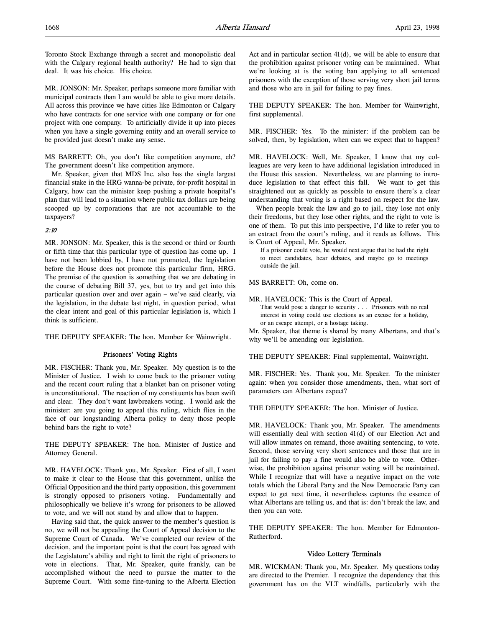Toronto Stock Exchange through a secret and monopolistic deal with the Calgary regional health authority? He had to sign that deal. It was his choice. His choice.

MR. JONSON: Mr. Speaker, perhaps someone more familiar with municipal contracts than I am would be able to give more details. All across this province we have cities like Edmonton or Calgary who have contracts for one service with one company or for one project with one company. To artificially divide it up into pieces when you have a single governing entity and an overall service to be provided just doesn't make any sense.

MS BARRETT: Oh, you don't like competition anymore, eh? The government doesn't like competition anymore.

Mr. Speaker, given that MDS Inc. also has the single largest financial stake in the HRG wanna-be private, for-profit hospital in Calgary, how can the minister keep pushing a private hospital's plan that will lead to a situation where public tax dollars are being scooped up by corporations that are not accountable to the taxpayers?

# 2:10

MR. JONSON: Mr. Speaker, this is the second or third or fourth or fifth time that this particular type of question has come up. I have not been lobbied by, I have not promoted, the legislation before the House does not promote this particular firm, HRG. The premise of the question is something that we are debating in the course of debating Bill 37, yes, but to try and get into this particular question over and over again – we've said clearly, via the legislation, in the debate last night, in question period, what the clear intent and goal of this particular legislation is, which I think is sufficient.

THE DEPUTY SPEAKER: The hon. Member for Wainwright.

### Prisoners' Voting Rights

MR. FISCHER: Thank you, Mr. Speaker. My question is to the Minister of Justice. I wish to come back to the prisoner voting and the recent court ruling that a blanket ban on prisoner voting is unconstitutional. The reaction of my constituents has been swift and clear. They don't want lawbreakers voting. I would ask the minister: are you going to appeal this ruling, which flies in the face of our longstanding Alberta policy to deny those people behind bars the right to vote?

THE DEPUTY SPEAKER: The hon. Minister of Justice and Attorney General.

MR. HAVELOCK: Thank you, Mr. Speaker. First of all, I want to make it clear to the House that this government, unlike the Official Opposition and the third party opposition, this government is strongly opposed to prisoners voting. Fundamentally and philosophically we believe it's wrong for prisoners to be allowed to vote, and we will not stand by and allow that to happen.

Having said that, the quick answer to the member's question is no, we will not be appealing the Court of Appeal decision to the Supreme Court of Canada. We've completed our review of the decision, and the important point is that the court has agreed with the Legislature's ability and right to limit the right of prisoners to vote in elections. That, Mr. Speaker, quite frankly, can be accomplished without the need to pursue the matter to the Supreme Court. With some fine-tuning to the Alberta Election Act and in particular section 41(d), we will be able to ensure that the prohibition against prisoner voting can be maintained. What we're looking at is the voting ban applying to all sentenced prisoners with the exception of those serving very short jail terms and those who are in jail for failing to pay fines.

THE DEPUTY SPEAKER: The hon. Member for Wainwright, first supplemental.

MR. FISCHER: Yes. To the minister: if the problem can be solved, then, by legislation, when can we expect that to happen?

MR. HAVELOCK: Well, Mr. Speaker, I know that my colleagues are very keen to have additional legislation introduced in the House this session. Nevertheless, we are planning to introduce legislation to that effect this fall. We want to get this straightened out as quickly as possible to ensure there's a clear understanding that voting is a right based on respect for the law.

When people break the law and go to jail, they lose not only their freedoms, but they lose other rights, and the right to vote is one of them. To put this into perspective, I'd like to refer you to an extract from the court's ruling, and it reads as follows. This is Court of Appeal, Mr. Speaker.

If a prisoner could vote, he would next argue that he had the right to meet candidates, hear debates, and maybe go to meetings outside the jail.

MS BARRETT: Oh, come on.

MR. HAVELOCK: This is the Court of Appeal.

That would pose a danger to security . . . Prisoners with no real interest in voting could use elections as an excuse for a holiday, or an escape attempt, or a hostage taking.

Mr. Speaker, that theme is shared by many Albertans, and that's why we'll be amending our legislation.

THE DEPUTY SPEAKER: Final supplemental, Wainwright.

MR. FISCHER: Yes. Thank you, Mr. Speaker. To the minister again: when you consider those amendments, then, what sort of parameters can Albertans expect?

THE DEPUTY SPEAKER: The hon. Minister of Justice.

MR. HAVELOCK: Thank you, Mr. Speaker. The amendments will essentially deal with section 41(d) of our Election Act and will allow inmates on remand, those awaiting sentencing, to vote. Second, those serving very short sentences and those that are in jail for failing to pay a fine would also be able to vote. Otherwise, the prohibition against prisoner voting will be maintained. While I recognize that will have a negative impact on the vote totals which the Liberal Party and the New Democratic Party can expect to get next time, it nevertheless captures the essence of what Albertans are telling us, and that is: don't break the law, and then you can vote.

THE DEPUTY SPEAKER: The hon. Member for Edmonton-Rutherford.

### Video Lottery Terminals

MR. WICKMAN: Thank you, Mr. Speaker. My questions today are directed to the Premier. I recognize the dependency that this government has on the VLT windfalls, particularly with the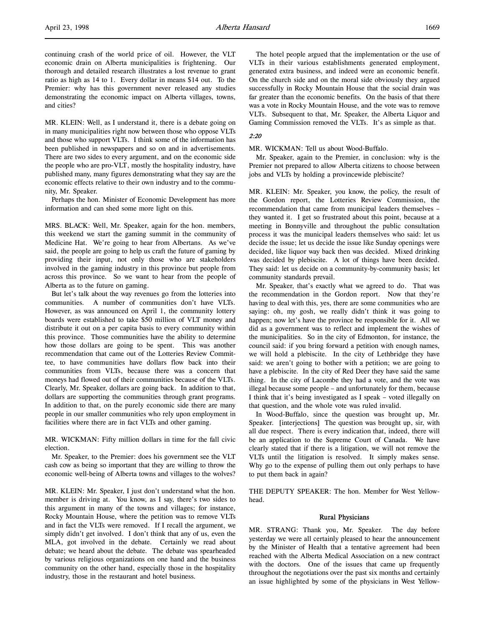MR. KLEIN: Well, as I understand it, there is a debate going on in many municipalities right now between those who oppose VLTs and those who support VLTs. I think some of the information has been published in newspapers and so on and in advertisements. There are two sides to every argument, and on the economic side the people who are pro-VLT, mostly the hospitality industry, have published many, many figures demonstrating what they say are the economic effects relative to their own industry and to the community, Mr. Speaker.

Perhaps the hon. Minister of Economic Development has more information and can shed some more light on this.

MRS. BLACK: Well, Mr. Speaker, again for the hon. members, this weekend we start the gaming summit in the community of Medicine Hat. We're going to hear from Albertans. As we've said, the people are going to help us craft the future of gaming by providing their input, not only those who are stakeholders involved in the gaming industry in this province but people from across this province. So we want to hear from the people of Alberta as to the future on gaming.

But let's talk about the way revenues go from the lotteries into communities. A number of communities don't have VLTs. However, as was announced on April 1, the community lottery boards were established to take \$50 million of VLT money and distribute it out on a per capita basis to every community within this province. Those communities have the ability to determine how those dollars are going to be spent. This was another recommendation that came out of the Lotteries Review Committee, to have communities have dollars flow back into their communities from VLTs, because there was a concern that moneys had flowed out of their communities because of the VLTs. Clearly, Mr. Speaker, dollars are going back. In addition to that, dollars are supporting the communities through grant programs. In addition to that, on the purely economic side there are many people in our smaller communities who rely upon employment in facilities where there are in fact VLTs and other gaming.

MR. WICKMAN: Fifty million dollars in time for the fall civic election.

Mr. Speaker, to the Premier: does his government see the VLT cash cow as being so important that they are willing to throw the economic well-being of Alberta towns and villages to the wolves?

MR. KLEIN: Mr. Speaker, I just don't understand what the hon. member is driving at. You know, as I say, there's two sides to this argument in many of the towns and villages; for instance, Rocky Mountain House, where the petition was to remove VLTs and in fact the VLTs were removed. If I recall the argument, we simply didn't get involved. I don't think that any of us, even the MLA, got involved in the debate. Certainly we read about debate; we heard about the debate. The debate was spearheaded by various religious organizations on one hand and the business community on the other hand, especially those in the hospitality industry, those in the restaurant and hotel business.

The hotel people argued that the implementation or the use of VLTs in their various establishments generated employment, generated extra business, and indeed were an economic benefit. On the church side and on the moral side obviously they argued successfully in Rocky Mountain House that the social drain was far greater than the economic benefits. On the basis of that there was a vote in Rocky Mountain House, and the vote was to remove VLTs. Subsequent to that, Mr. Speaker, the Alberta Liquor and Gaming Commission removed the VLTs. It's as simple as that.

### 2:20

MR. WICKMAN: Tell us about Wood-Buffalo.

Mr. Speaker, again to the Premier, in conclusion: why is the Premier not prepared to allow Alberta citizens to choose between jobs and VLTs by holding a provincewide plebiscite?

MR. KLEIN: Mr. Speaker, you know, the policy, the result of the Gordon report, the Lotteries Review Commission, the recommendation that came from municipal leaders themselves – they wanted it. I get so frustrated about this point, because at a meeting in Bonnyville and throughout the public consultation process it was the municipal leaders themselves who said: let us decide the issue; let us decide the issue like Sunday openings were decided, like liquor way back then was decided. Mixed drinking was decided by plebiscite. A lot of things have been decided. They said: let us decide on a community-by-community basis; let community standards prevail.

Mr. Speaker, that's exactly what we agreed to do. That was the recommendation in the Gordon report. Now that they're having to deal with this, yes, there are some communities who are saying: oh, my gosh, we really didn't think it was going to happen; now let's have the province be responsible for it. All we did as a government was to reflect and implement the wishes of the municipalities. So in the city of Edmonton, for instance, the council said: if you bring forward a petition with enough names, we will hold a plebiscite. In the city of Lethbridge they have said: we aren't going to bother with a petition; we are going to have a plebiscite. In the city of Red Deer they have said the same thing. In the city of Lacombe they had a vote, and the vote was illegal because some people – and unfortunately for them, because I think that it's being investigated as I speak – voted illegally on that question, and the whole vote was ruled invalid.

In Wood-Buffalo, since the question was brought up, Mr. Speaker. [interjections] The question was brought up, sir, with all due respect. There is every indication that, indeed, there will be an application to the Supreme Court of Canada. We have clearly stated that if there is a litigation, we will not remove the VLTs until the litigation is resolved. It simply makes sense. Why go to the expense of pulling them out only perhaps to have to put them back in again?

THE DEPUTY SPEAKER: The hon. Member for West Yellowhead.

#### Rural Physicians

MR. STRANG: Thank you, Mr. Speaker. The day before yesterday we were all certainly pleased to hear the announcement by the Minister of Health that a tentative agreement had been reached with the Alberta Medical Association on a new contract with the doctors. One of the issues that came up frequently throughout the negotiations over the past six months and certainly an issue highlighted by some of the physicians in West Yellow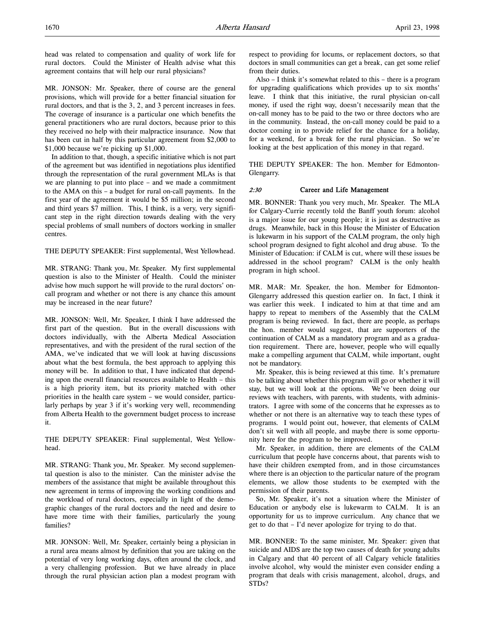head was related to compensation and quality of work life for rural doctors. Could the Minister of Health advise what this agreement contains that will help our rural physicians?

MR. JONSON: Mr. Speaker, there of course are the general provisions, which will provide for a better financial situation for rural doctors, and that is the 3, 2, and 3 percent increases in fees. The coverage of insurance is a particular one which benefits the general practitioners who are rural doctors, because prior to this they received no help with their malpractice insurance. Now that has been cut in half by this particular agreement from \$2,000 to \$1,000 because we're picking up \$1,000.

In addition to that, though, a specific initiative which is not part of the agreement but was identified in negotiations plus identified through the representation of the rural government MLAs is that we are planning to put into place – and we made a commitment to the AMA on this – a budget for rural on-call payments. In the first year of the agreement it would be \$5 million; in the second and third years \$7 million. This, I think, is a very, very significant step in the right direction towards dealing with the very special problems of small numbers of doctors working in smaller centres.

THE DEPUTY SPEAKER: First supplemental, West Yellowhead.

MR. STRANG: Thank you, Mr. Speaker. My first supplemental question is also to the Minister of Health. Could the minister advise how much support he will provide to the rural doctors' oncall program and whether or not there is any chance this amount may be increased in the near future?

MR. JONSON: Well, Mr. Speaker, I think I have addressed the first part of the question. But in the overall discussions with doctors individually, with the Alberta Medical Association representatives, and with the president of the rural section of the AMA, we've indicated that we will look at having discussions about what the best formula, the best approach to applying this money will be. In addition to that, I have indicated that depending upon the overall financial resources available to Health – this is a high priority item, but its priority matched with other priorities in the health care system – we would consider, particularly perhaps by year 3 if it's working very well, recommending from Alberta Health to the government budget process to increase it.

THE DEPUTY SPEAKER: Final supplemental, West Yellowhead.

MR. STRANG: Thank you, Mr. Speaker. My second supplemental question is also to the minister. Can the minister advise the members of the assistance that might be available throughout this new agreement in terms of improving the working conditions and the workload of rural doctors, especially in light of the demographic changes of the rural doctors and the need and desire to have more time with their families, particularly the young families?

MR. JONSON: Well, Mr. Speaker, certainly being a physician in a rural area means almost by definition that you are taking on the potential of very long working days, often around the clock, and a very challenging profession. But we have already in place through the rural physician action plan a modest program with

respect to providing for locums, or replacement doctors, so that doctors in small communities can get a break, can get some relief from their duties.

Also – I think it's somewhat related to this – there is a program for upgrading qualifications which provides up to six months' leave. I think that this initiative, the rural physician on-call money, if used the right way, doesn't necessarily mean that the on-call money has to be paid to the two or three doctors who are in the community. Instead, the on-call money could be paid to a doctor coming in to provide relief for the chance for a holiday, for a weekend, for a break for the rural physician. So we're looking at the best application of this money in that regard.

THE DEPUTY SPEAKER: The hon. Member for Edmonton-Glengarry.

#### 2:30 Career and Life Management

MR. BONNER: Thank you very much, Mr. Speaker. The MLA for Calgary-Currie recently told the Banff youth forum: alcohol is a major issue for our young people; it is just as destructive as drugs. Meanwhile, back in this House the Minister of Education is lukewarm in his support of the CALM program, the only high school program designed to fight alcohol and drug abuse. To the Minister of Education: if CALM is cut, where will these issues be addressed in the school program? CALM is the only health program in high school.

MR. MAR: Mr. Speaker, the hon. Member for Edmonton-Glengarry addressed this question earlier on. In fact, I think it was earlier this week. I indicated to him at that time and am happy to repeat to members of the Assembly that the CALM program is being reviewed. In fact, there are people, as perhaps the hon. member would suggest, that are supporters of the continuation of CALM as a mandatory program and as a graduation requirement. There are, however, people who will equally make a compelling argument that CALM, while important, ought not be mandatory.

Mr. Speaker, this is being reviewed at this time. It's premature to be talking about whether this program will go or whether it will stay, but we will look at the options. We've been doing our reviews with teachers, with parents, with students, with administrators. I agree with some of the concerns that he expresses as to whether or not there is an alternative way to teach these types of programs. I would point out, however, that elements of CALM don't sit well with all people, and maybe there is some opportunity here for the program to be improved.

Mr. Speaker, in addition, there are elements of the CALM curriculum that people have concerns about, that parents wish to have their children exempted from, and in those circumstances where there is an objection to the particular nature of the program elements, we allow those students to be exempted with the permission of their parents.

So, Mr. Speaker, it's not a situation where the Minister of Education or anybody else is lukewarm to CALM. It is an opportunity for us to improve curriculum. Any chance that we get to do that – I'd never apologize for trying to do that.

MR. BONNER: To the same minister, Mr. Speaker: given that suicide and AIDS are the top two causes of death for young adults in Calgary and that 40 percent of all Calgary vehicle fatalities involve alcohol, why would the minister even consider ending a program that deals with crisis management, alcohol, drugs, and STDs?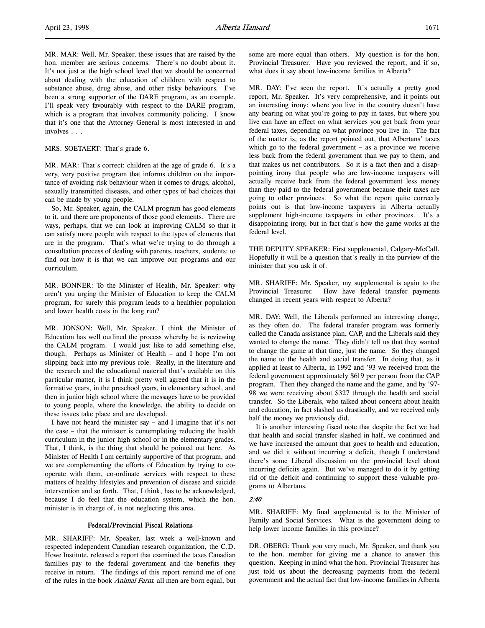MR. MAR: Well, Mr. Speaker, these issues that are raised by the hon. member are serious concerns. There's no doubt about it. It's not just at the high school level that we should be concerned about dealing with the education of children with respect to substance abuse, drug abuse, and other risky behaviours. I've been a strong supporter of the DARE program, as an example. I'll speak very favourably with respect to the DARE program, which is a program that involves community policing. I know that it's one that the Attorney General is most interested in and involves . . .

MRS. SOETAERT: That's grade 6.

MR. MAR: That's correct: children at the age of grade 6. It's a very, very positive program that informs children on the importance of avoiding risk behaviour when it comes to drugs, alcohol, sexually transmitted diseases, and other types of bad choices that can be made by young people.

So, Mr. Speaker, again, the CALM program has good elements to it, and there are proponents of those good elements. There are ways, perhaps, that we can look at improving CALM so that it can satisfy more people with respect to the types of elements that are in the program. That's what we're trying to do through a consultation process of dealing with parents, teachers, students: to find out how it is that we can improve our programs and our curriculum.

MR. BONNER: To the Minister of Health, Mr. Speaker: why aren't you urging the Minister of Education to keep the CALM program, for surely this program leads to a healthier population and lower health costs in the long run?

MR. JONSON: Well, Mr. Speaker, I think the Minister of Education has well outlined the process whereby he is reviewing the CALM program. I would just like to add something else, though. Perhaps as Minister of Health – and I hope I'm not slipping back into my previous role. Really, in the literature and the research and the educational material that's available on this particular matter, it is I think pretty well agreed that it is in the formative years, in the preschool years, in elementary school, and then in junior high school where the messages have to be provided to young people, where the knowledge, the ability to decide on these issues take place and are developed.

I have not heard the minister say – and I imagine that it's not the case – that the minister is contemplating reducing the health curriculum in the junior high school or in the elementary grades. That, I think, is the thing that should be pointed out here. As Minister of Health I am certainly supportive of that program, and we are complementing the efforts of Education by trying to cooperate with them, co-ordinate services with respect to these matters of healthy lifestyles and prevention of disease and suicide intervention and so forth. That, I think, has to be acknowledged, because I do feel that the education system, which the hon. minister is in charge of, is not neglecting this area.

#### Federal/Provincial Fiscal Relations

MR. SHARIFF: Mr. Speaker, last week a well-known and respected independent Canadian research organization, the C.D. Howe Institute, released a report that examined the taxes Canadian families pay to the federal government and the benefits they receive in return. The findings of this report remind me of one of the rules in the book Animal Farm: all men are born equal, but

some are more equal than others. My question is for the hon. Provincial Treasurer. Have you reviewed the report, and if so, what does it say about low-income families in Alberta?

MR. DAY: I've seen the report. It's actually a pretty good report, Mr. Speaker. It's very comprehensive, and it points out an interesting irony: where you live in the country doesn't have any bearing on what you're going to pay in taxes, but where you live can have an effect on what services you get back from your federal taxes, depending on what province you live in. The fact of the matter is, as the report pointed out, that Albertans' taxes which go to the federal government – as a province we receive less back from the federal government than we pay to them, and that makes us net contributors. So it is a fact then and a disappointing irony that people who are low-income taxpayers will actually receive back from the federal government less money than they paid to the federal government because their taxes are going to other provinces. So what the report quite correctly points out is that low-income taxpayers in Alberta actually supplement high-income taxpayers in other provinces. It's a disappointing irony, but in fact that's how the game works at the federal level.

THE DEPUTY SPEAKER: First supplemental, Calgary-McCall. Hopefully it will be a question that's really in the purview of the minister that you ask it of.

MR. SHARIFF: Mr. Speaker, my supplemental is again to the Provincial Treasurer. How have federal transfer payments changed in recent years with respect to Alberta?

MR. DAY: Well, the Liberals performed an interesting change, as they often do. The federal transfer program was formerly called the Canada assistance plan, CAP, and the Liberals said they wanted to change the name. They didn't tell us that they wanted to change the game at that time, just the name. So they changed the name to the health and social transfer. In doing that, as it applied at least to Alberta, in 1992 and '93 we received from the federal government approximately \$619 per person from the CAP program. Then they changed the name and the game, and by '97- 98 we were receiving about \$327 through the health and social transfer. So the Liberals, who talked about concern about health and education, in fact slashed us drastically, and we received only half the money we previously did.

It is another interesting fiscal note that despite the fact we had that health and social transfer slashed in half, we continued and we have increased the amount that goes to health and education, and we did it without incurring a deficit, though I understand there's some Liberal discussion on the provincial level about incurring deficits again. But we've managed to do it by getting rid of the deficit and continuing to support these valuable programs to Albertans.

#### 2:40

MR. SHARIFF: My final supplemental is to the Minister of Family and Social Services. What is the government doing to help lower income families in this province?

DR. OBERG: Thank you very much, Mr. Speaker, and thank you to the hon. member for giving me a chance to answer this question. Keeping in mind what the hon. Provincial Treasurer has just told us about the decreasing payments from the federal government and the actual fact that low-income families in Alberta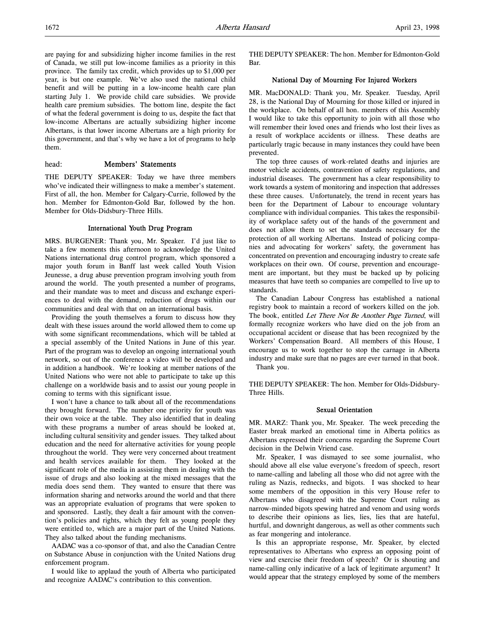are paying for and subsidizing higher income families in the rest of Canada, we still put low-income families as a priority in this province. The family tax credit, which provides up to \$1,000 per year, is but one example. We've also used the national child benefit and will be putting in a low-income health care plan starting July 1. We provide child care subsidies. We provide health care premium subsidies. The bottom line, despite the fact of what the federal government is doing to us, despite the fact that low-income Albertans are actually subsidizing higher income Albertans, is that lower income Albertans are a high priority for this government, and that's why we have a lot of programs to help them.

### head: Members' Statements

THE DEPUTY SPEAKER: Today we have three members who've indicated their willingness to make a member's statement. First of all, the hon. Member for Calgary-Currie, followed by the hon. Member for Edmonton-Gold Bar, followed by the hon. Member for Olds-Didsbury-Three Hills.

### International Youth Drug Program

MRS. BURGENER: Thank you, Mr. Speaker. I'd just like to take a few moments this afternoon to acknowledge the United Nations international drug control program, which sponsored a major youth forum in Banff last week called Youth Vision Jeunesse, a drug abuse prevention program involving youth from around the world. The youth presented a number of programs, and their mandate was to meet and discuss and exchange experiences to deal with the demand, reduction of drugs within our communities and deal with that on an international basis.

Providing the youth themselves a forum to discuss how they dealt with these issues around the world allowed them to come up with some significant recommendations, which will be tabled at a special assembly of the United Nations in June of this year. Part of the program was to develop an ongoing international youth network, so out of the conference a video will be developed and in addition a handbook. We're looking at member nations of the United Nations who were not able to participate to take up this challenge on a worldwide basis and to assist our young people in coming to terms with this significant issue.

I won't have a chance to talk about all of the recommendations they brought forward. The number one priority for youth was their own voice at the table. They also identified that in dealing with these programs a number of areas should be looked at, including cultural sensitivity and gender issues. They talked about education and the need for alternative activities for young people throughout the world. They were very concerned about treatment and health services available for them. They looked at the significant role of the media in assisting them in dealing with the issue of drugs and also looking at the mixed messages that the media does send them. They wanted to ensure that there was information sharing and networks around the world and that there was an appropriate evaluation of programs that were spoken to and sponsored. Lastly, they dealt a fair amount with the convention's policies and rights, which they felt as young people they were entitled to, which are a major part of the United Nations. They also talked about the funding mechanisms.

AADAC was a co-sponsor of that, and also the Canadian Centre on Substance Abuse in conjunction with the United Nations drug enforcement program.

I would like to applaud the youth of Alberta who participated and recognize AADAC's contribution to this convention.

THE DEPUTY SPEAKER: The hon. Member for Edmonton-Gold Bar.

#### National Day of Mourning For Injured Workers

MR. MacDONALD: Thank you, Mr. Speaker. Tuesday, April 28, is the National Day of Mourning for those killed or injured in the workplace. On behalf of all hon. members of this Assembly I would like to take this opportunity to join with all those who will remember their loved ones and friends who lost their lives as a result of workplace accidents or illness. These deaths are particularly tragic because in many instances they could have been prevented.

The top three causes of work-related deaths and injuries are motor vehicle accidents, contravention of safety regulations, and industrial diseases. The government has a clear responsibility to work towards a system of monitoring and inspection that addresses these three causes. Unfortunately, the trend in recent years has been for the Department of Labour to encourage voluntary compliance with individual companies. This takes the responsibility of workplace safety out of the hands of the government and does not allow them to set the standards necessary for the protection of all working Albertans. Instead of policing companies and advocating for workers' safety, the government has concentrated on prevention and encouraging industry to create safe workplaces on their own. Of course, prevention and encouragement are important, but they must be backed up by policing measures that have teeth so companies are compelled to live up to standards.

The Canadian Labour Congress has established a national registry book to maintain a record of workers killed on the job. The book, entitled Let There Not Be Another Page Turned, will formally recognize workers who have died on the job from an occupational accident or disease that has been recognized by the Workers' Compensation Board. All members of this House, I encourage us to work together to stop the carnage in Alberta industry and make sure that no pages are ever turned in that book. Thank you.

THE DEPUTY SPEAKER: The hon. Member for Olds-Didsbury-Three Hills.

### Sexual Orientation

MR. MARZ: Thank you, Mr. Speaker. The week preceding the Easter break marked an emotional time in Alberta politics as Albertans expressed their concerns regarding the Supreme Court decision in the Delwin Vriend case.

Mr. Speaker, I was dismayed to see some journalist, who should above all else value everyone's freedom of speech, resort to name-calling and labeling all those who did not agree with the ruling as Nazis, rednecks, and bigots. I was shocked to hear some members of the opposition in this very House refer to Albertans who disagreed with the Supreme Court ruling as narrow-minded bigots spewing hatred and venom and using words to describe their opinions as lies, lies, lies that are hateful, hurtful, and downright dangerous, as well as other comments such as fear mongering and intolerance.

Is this an appropriate response, Mr. Speaker, by elected representatives to Albertans who express an opposing point of view and exercise their freedom of speech? Or is shouting and name-calling only indicative of a lack of legitimate argument? It would appear that the strategy employed by some of the members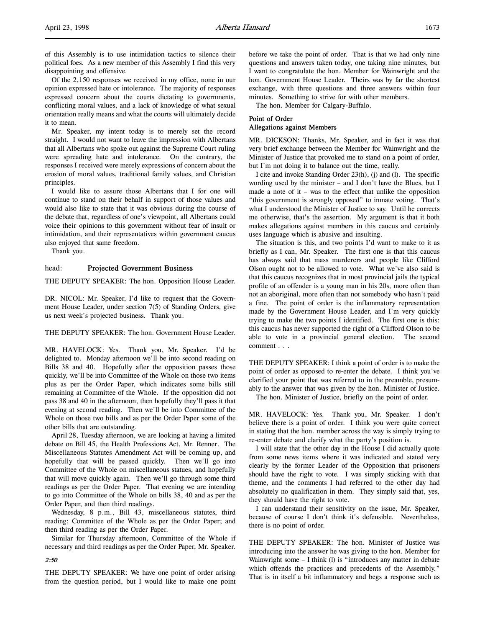Of the 2,150 responses we received in my office, none in our opinion expressed hate or intolerance. The majority of responses expressed concern about the courts dictating to governments, conflicting moral values, and a lack of knowledge of what sexual orientation really means and what the courts will ultimately decide it to mean.

Mr. Speaker, my intent today is to merely set the record straight. I would not want to leave the impression with Albertans that all Albertans who spoke out against the Supreme Court ruling were spreading hate and intolerance. On the contrary, the responses I received were merely expressions of concern about the erosion of moral values, traditional family values, and Christian principles.

I would like to assure those Albertans that I for one will continue to stand on their behalf in support of those values and would also like to state that it was obvious during the course of the debate that, regardless of one's viewpoint, all Albertans could voice their opinions to this government without fear of insult or intimidation, and their representatives within government caucus also enjoyed that same freedom.

Thank you.

### head: Projected Government Business

THE DEPUTY SPEAKER: The hon. Opposition House Leader.

DR. NICOL: Mr. Speaker, I'd like to request that the Government House Leader, under section 7(5) of Standing Orders, give us next week's projected business. Thank you.

THE DEPUTY SPEAKER: The hon. Government House Leader.

MR. HAVELOCK: Yes. Thank you, Mr. Speaker. I'd be delighted to. Monday afternoon we'll be into second reading on Bills 38 and 40. Hopefully after the opposition passes those quickly, we'll be into Committee of the Whole on those two items plus as per the Order Paper, which indicates some bills still remaining at Committee of the Whole. If the opposition did not pass 38 and 40 in the afternoon, then hopefully they'll pass it that evening at second reading. Then we'll be into Committee of the Whole on those two bills and as per the Order Paper some of the other bills that are outstanding.

April 28, Tuesday afternoon, we are looking at having a limited debate on Bill 45, the Health Professions Act, Mr. Renner. The Miscellaneous Statutes Amendment Act will be coming up, and hopefully that will be passed quickly. Then we'll go into Committee of the Whole on miscellaneous statues, and hopefully that will move quickly again. Then we'll go through some third readings as per the Order Paper. That evening we are intending to go into Committee of the Whole on bills 38, 40 and as per the Order Paper, and then third readings.

Wednesday, 8 p.m., Bill 43, miscellaneous statutes, third reading; Committee of the Whole as per the Order Paper; and then third reading as per the Order Paper.

Similar for Thursday afternoon, Committee of the Whole if necessary and third readings as per the Order Paper, Mr. Speaker.

### 2:50

THE DEPUTY SPEAKER: We have one point of order arising from the question period, but I would like to make one point before we take the point of order. That is that we had only nine questions and answers taken today, one taking nine minutes, but I want to congratulate the hon. Member for Wainwright and the hon. Government House Leader. Theirs was by far the shortest exchange, with three questions and three answers within four minutes. Something to strive for with other members.

The hon. Member for Calgary-Buffalo.

# Point of Order

### Allegations against Members

MR. DICKSON: Thanks, Mr. Speaker, and in fact it was that very brief exchange between the Member for Wainwright and the Minister of Justice that provoked me to stand on a point of order, but I'm not doing it to balance out the time, really.

I cite and invoke Standing Order 23(h), (j) and (l). The specific wording used by the minister – and I don't have the Blues, but I made a note of it – was to the effect that unlike the opposition "this government is strongly opposed" to inmate voting. That's what I understood the Minister of Justice to say. Until he corrects me otherwise, that's the assertion. My argument is that it both makes allegations against members in this caucus and certainly uses language which is abusive and insulting.

The situation is this, and two points I'd want to make to it as briefly as I can, Mr. Speaker. The first one is that this caucus has always said that mass murderers and people like Clifford Olson ought not to be allowed to vote. What we've also said is that this caucus recognizes that in most provincial jails the typical profile of an offender is a young man in his 20s, more often than not an aboriginal, more often than not somebody who hasn't paid a fine. The point of order is the inflammatory representation made by the Government House Leader, and I'm very quickly trying to make the two points I identified. The first one is this: this caucus has never supported the right of a Clifford Olson to be able to vote in a provincial general election. The second comment . . .

THE DEPUTY SPEAKER: I think a point of order is to make the point of order as opposed to re-enter the debate. I think you've clarified your point that was referred to in the preamble, presumably to the answer that was given by the hon. Minister of Justice.

The hon. Minister of Justice, briefly on the point of order.

MR. HAVELOCK: Yes. Thank you, Mr. Speaker. I don't believe there is a point of order. I think you were quite correct in stating that the hon. member across the way is simply trying to re-enter debate and clarify what the party's position is.

I will state that the other day in the House I did actually quote from some news items where it was indicated and stated very clearly by the former Leader of the Opposition that prisoners should have the right to vote. I was simply sticking with that theme, and the comments I had referred to the other day had absolutely no qualification in them. They simply said that, yes, they should have the right to vote.

I can understand their sensitivity on the issue, Mr. Speaker, because of course I don't think it's defensible. Nevertheless, there is no point of order.

THE DEPUTY SPEAKER: The hon. Minister of Justice was introducing into the answer he was giving to the hon. Member for Wainwright some – I think (l) is "introduces any matter in debate which offends the practices and precedents of the Assembly." That is in itself a bit inflammatory and begs a response such as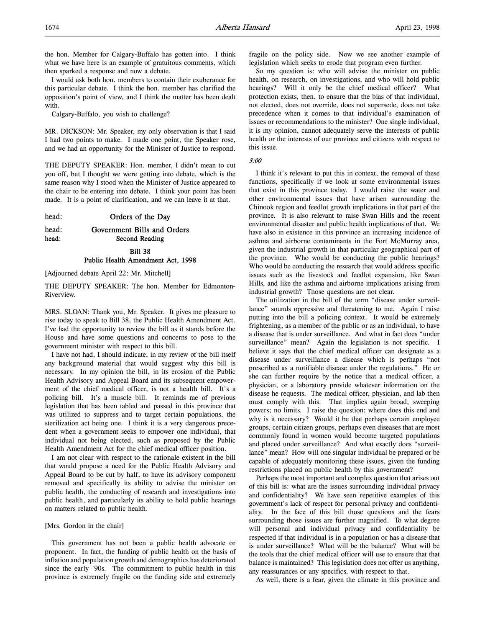the hon. Member for Calgary-Buffalo has gotten into. I think what we have here is an example of gratuitous comments, which then sparked a response and now a debate.

I would ask both hon. members to contain their exuberance for this particular debate. I think the hon. member has clarified the opposition's point of view, and I think the matter has been dealt with.

Calgary-Buffalo, you wish to challenge?

MR. DICKSON: Mr. Speaker, my only observation is that I said I had two points to make. I made one point, the Speaker rose, and we had an opportunity for the Minister of Justice to respond.

THE DEPUTY SPEAKER: Hon. member, I didn't mean to cut you off, but I thought we were getting into debate, which is the same reason why I stood when the Minister of Justice appeared to the chair to be entering into debate. I think your point has been made. It is a point of clarification, and we can leave it at that.

head: **Orders of the Day** 

### head: Government Bills and Orders head: Second Reading

Bill 38 Public Health Amendment Act, 1998

[Adjourned debate April 22: Mr. Mitchell]

THE DEPUTY SPEAKER: The hon. Member for Edmonton-Riverview.

MRS. SLOAN: Thank you, Mr. Speaker. It gives me pleasure to rise today to speak to Bill 38, the Public Health Amendment Act. I've had the opportunity to review the bill as it stands before the House and have some questions and concerns to pose to the government minister with respect to this bill.

I have not had, I should indicate, in my review of the bill itself any background material that would suggest why this bill is necessary. In my opinion the bill, in its erosion of the Public Health Advisory and Appeal Board and its subsequent empowerment of the chief medical officer, is not a health bill. It's a policing bill. It's a muscle bill. It reminds me of previous legislation that has been tabled and passed in this province that was utilized to suppress and to target certain populations, the sterilization act being one. I think it is a very dangerous precedent when a government seeks to empower one individual, that individual not being elected, such as proposed by the Public Health Amendment Act for the chief medical officer position.

I am not clear with respect to the rationale existent in the bill that would propose a need for the Public Health Advisory and Appeal Board to be cut by half, to have its advisory component removed and specifically its ability to advise the minister on public health, the conducting of research and investigations into public health, and particularly its ability to hold public hearings on matters related to public health.

#### [Mrs. Gordon in the chair]

This government has not been a public health advocate or proponent. In fact, the funding of public health on the basis of inflation and population growth and demographics has deteriorated since the early '90s. The commitment to public health in this province is extremely fragile on the funding side and extremely

fragile on the policy side. Now we see another example of legislation which seeks to erode that program even further.

So my question is: who will advise the minister on public health, on research, on investigations, and who will hold public hearings? Will it only be the chief medical officer? What protection exists, then, to ensure that the bias of that individual, not elected, does not override, does not supersede, does not take precedence when it comes to that individual's examination of issues or recommendations to the minister? One single individual, it is my opinion, cannot adequately serve the interests of public health or the interests of our province and citizens with respect to this issue.

3:00

I think it's relevant to put this in context, the removal of these functions, specifically if we look at some environmental issues that exist in this province today. I would raise the water and other environmental issues that have arisen surrounding the Chinook region and feedlot growth implications in that part of the province. It is also relevant to raise Swan Hills and the recent environmental disaster and public health implications of that. We have also in existence in this province an increasing incidence of asthma and airborne contaminants in the Fort McMurray area, given the industrial growth in that particular geographical part of the province. Who would be conducting the public hearings? Who would be conducting the research that would address specific issues such as the livestock and feedlot expansion, like Swan Hills, and like the asthma and airborne implications arising from industrial growth? Those questions are not clear.

The utilization in the bill of the term "disease under surveillance" sounds oppressive and threatening to me. Again I raise putting into the bill a policing context. It would be extremely frightening, as a member of the public or as an individual, to have a disease that is under surveillance. And what in fact does "under surveillance" mean? Again the legislation is not specific. I believe it says that the chief medical officer can designate as a disease under surveillance a disease which is perhaps "not prescribed as a notifiable disease under the regulations." He or she can further require by the notice that a medical officer, a physician, or a laboratory provide whatever information on the disease he requests. The medical officer, physician, and lab then must comply with this. That implies again broad, sweeping powers; no limits. I raise the question: where does this end and why is it necessary? Would it be that perhaps certain employee groups, certain citizen groups, perhaps even diseases that are most commonly found in women would become targeted populations and placed under surveillance? And what exactly does "surveillance" mean? How will one singular individual be prepared or be capable of adequately monitoring these issues, given the funding restrictions placed on public health by this government?

Perhaps the most important and complex question that arises out of this bill is: what are the issues surrounding individual privacy and confidentiality? We have seen repetitive examples of this government's lack of respect for personal privacy and confidentiality. In the face of this bill those questions and the fears surrounding those issues are further magnified. To what degree will personal and individual privacy and confidentiality be respected if that individual is in a population or has a disease that is under surveillance? What will be the balance? What will be the tools that the chief medical officer will use to ensure that that balance is maintained? This legislation does not offer us anything, any reassurances or any specifics, with respect to that.

As well, there is a fear, given the climate in this province and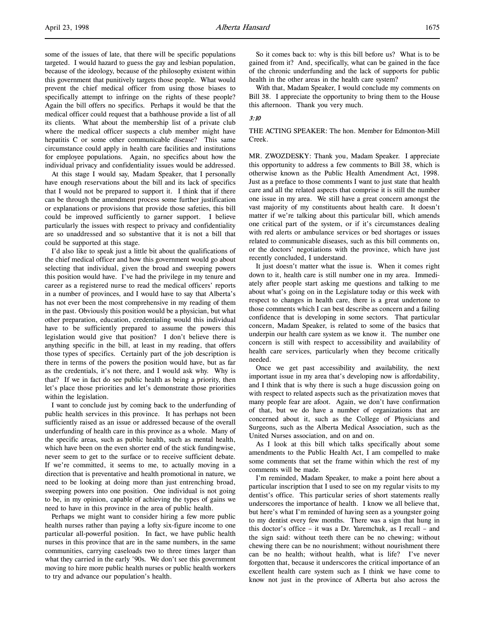some of the issues of late, that there will be specific populations targeted. I would hazard to guess the gay and lesbian population, because of the ideology, because of the philosophy existent within this government that punitively targets those people. What would prevent the chief medical officer from using those biases to specifically attempt to infringe on the rights of these people? Again the bill offers no specifics. Perhaps it would be that the medical officer could request that a bathhouse provide a list of all its clients. What about the membership list of a private club where the medical officer suspects a club member might have hepatitis C or some other communicable disease? This same circumstance could apply in health care facilities and institutions for employee populations. Again, no specifics about how the individual privacy and confidentiality issues would be addressed.

At this stage I would say, Madam Speaker, that I personally have enough reservations about the bill and its lack of specifics that I would not be prepared to support it. I think that if there can be through the amendment process some further justification or explanations or provisions that provide those safeties, this bill could be improved sufficiently to garner support. I believe particularly the issues with respect to privacy and confidentiality are so unaddressed and so substantive that it is not a bill that could be supported at this stage.

I'd also like to speak just a little bit about the qualifications of the chief medical officer and how this government would go about selecting that individual, given the broad and sweeping powers this position would have. I've had the privilege in my tenure and career as a registered nurse to read the medical officers' reports in a number of provinces, and I would have to say that Alberta's has not ever been the most comprehensive in my reading of them in the past. Obviously this position would be a physician, but what other preparation, education, credentialing would this individual have to be sufficiently prepared to assume the powers this legislation would give that position? I don't believe there is anything specific in the bill, at least in my reading, that offers those types of specifics. Certainly part of the job description is there in terms of the powers the position would have, but as far as the credentials, it's not there, and I would ask why. Why is that? If we in fact do see public health as being a priority, then let's place those priorities and let's demonstrate those priorities within the legislation.

I want to conclude just by coming back to the underfunding of public health services in this province. It has perhaps not been sufficiently raised as an issue or addressed because of the overall underfunding of health care in this province as a whole. Many of the specific areas, such as public health, such as mental health, which have been on the even shorter end of the stick fundingwise, never seem to get to the surface or to receive sufficient debate. If we're committed, it seems to me, to actually moving in a direction that is preventative and health promotional in nature, we need to be looking at doing more than just entrenching broad, sweeping powers into one position. One individual is not going to be, in my opinion, capable of achieving the types of gains we need to have in this province in the area of public health.

Perhaps we might want to consider hiring a few more public health nurses rather than paying a lofty six-figure income to one particular all-powerful position. In fact, we have public health nurses in this province that are in the same numbers, in the same communities, carrying caseloads two to three times larger than what they carried in the early '90s. We don't see this government moving to hire more public health nurses or public health workers to try and advance our population's health.

So it comes back to: why is this bill before us? What is to be gained from it? And, specifically, what can be gained in the face of the chronic underfunding and the lack of supports for public health in the other areas in the health care system?

With that, Madam Speaker, I would conclude my comments on Bill 38. I appreciate the opportunity to bring them to the House this afternoon. Thank you very much.

### 3:10

### THE ACTING SPEAKER: The hon. Member for Edmonton-Mill Creek.

MR. ZWOZDESKY: Thank you, Madam Speaker. I appreciate this opportunity to address a few comments to Bill 38, which is otherwise known as the Public Health Amendment Act, 1998. Just as a preface to those comments I want to just state that health care and all the related aspects that comprise it is still the number one issue in my area. We still have a great concern amongst the vast majority of my constituents about health care. It doesn't matter if we're talking about this particular bill, which amends one critical part of the system, or if it's circumstances dealing with red alerts or ambulance services or bed shortages or issues related to communicable diseases, such as this bill comments on, or the doctors' negotiations with the province, which have just recently concluded, I understand.

It just doesn't matter what the issue is. When it comes right down to it, health care is still number one in my area. Immediately after people start asking me questions and talking to me about what's going on in the Legislature today or this week with respect to changes in health care, there is a great undertone to those comments which I can best describe as concern and a failing confidence that is developing in some sectors. That particular concern, Madam Speaker, is related to some of the basics that underpin our health care system as we know it. The number one concern is still with respect to accessibility and availability of health care services, particularly when they become critically needed.

Once we get past accessibility and availability, the next important issue in my area that's developing now is affordability, and I think that is why there is such a huge discussion going on with respect to related aspects such as the privatization moves that many people fear are afoot. Again, we don't have confirmation of that, but we do have a number of organizations that are concerned about it, such as the College of Physicians and Surgeons, such as the Alberta Medical Association, such as the United Nurses association, and on and on.

As I look at this bill which talks specifically about some amendments to the Public Health Act, I am compelled to make some comments that set the frame within which the rest of my comments will be made.

I'm reminded, Madam Speaker, to make a point here about a particular inscription that I used to see on my regular visits to my dentist's office. This particular series of short statements really underscores the importance of health. I know we all believe that, but here's what I'm reminded of having seen as a youngster going to my dentist every few months. There was a sign that hung in this doctor's office – it was a Dr. Yaremchuk, as I recall – and the sign said: without teeth there can be no chewing; without chewing there can be no nourishment; without nourishment there can be no health; without health, what is life? I've never forgotten that, because it underscores the critical importance of an excellent health care system such as I think we have come to know not just in the province of Alberta but also across the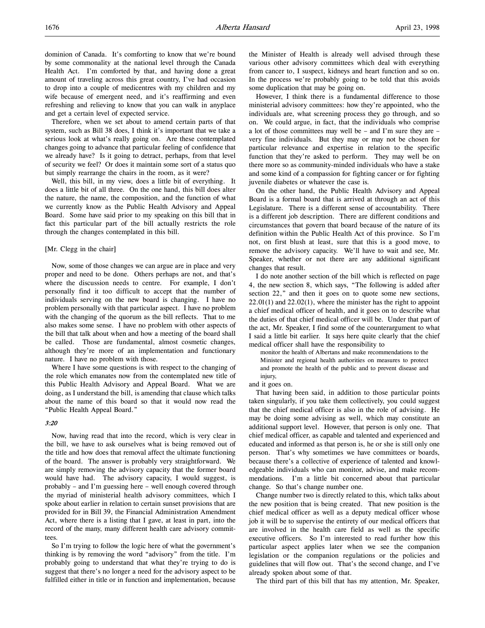Therefore, when we set about to amend certain parts of that system, such as Bill 38 does, I think it's important that we take a serious look at what's really going on. Are these contemplated changes going to advance that particular feeling of confidence that we already have? Is it going to detract, perhaps, from that level of security we feel? Or does it maintain some sort of a status quo but simply rearrange the chairs in the room, as it were?

Well, this bill, in my view, does a little bit of everything. It does a little bit of all three. On the one hand, this bill does alter the nature, the name, the composition, and the function of what we currently know as the Public Health Advisory and Appeal Board. Some have said prior to my speaking on this bill that in fact this particular part of the bill actually restricts the role through the changes contemplated in this bill.

### [Mr. Clegg in the chair]

Now, some of those changes we can argue are in place and very proper and need to be done. Others perhaps are not, and that's where the discussion needs to centre. For example, I don't personally find it too difficult to accept that the number of individuals serving on the new board is changing. I have no problem personally with that particular aspect. I have no problem with the changing of the quorum as the bill reflects. That to me also makes some sense. I have no problem with other aspects of the bill that talk about when and how a meeting of the board shall be called. Those are fundamental, almost cosmetic changes, although they're more of an implementation and functionary nature. I have no problem with those.

Where I have some questions is with respect to the changing of the role which emanates now from the contemplated new title of this Public Health Advisory and Appeal Board. What we are doing, as I understand the bill, is amending that clause which talks about the name of this board so that it would now read the "Public Health Appeal Board."

#### 3:20

Now, having read that into the record, which is very clear in the bill, we have to ask ourselves what is being removed out of the title and how does that removal affect the ultimate functioning of the board. The answer is probably very straightforward. We are simply removing the advisory capacity that the former board would have had. The advisory capacity, I would suggest, is probably – and I'm guessing here – well enough covered through the myriad of ministerial health advisory committees, which I spoke about earlier in relation to certain sunset provisions that are provided for in Bill 39, the Financial Administration Amendment Act, where there is a listing that I gave, at least in part, into the record of the many, many different health care advisory committees.

So I'm trying to follow the logic here of what the government's thinking is by removing the word "advisory" from the title. I'm probably going to understand that what they're trying to do is suggest that there's no longer a need for the advisory aspect to be fulfilled either in title or in function and implementation, because the Minister of Health is already well advised through these various other advisory committees which deal with everything from cancer to, I suspect, kidneys and heart function and so on. In the process we're probably going to be told that this avoids some duplication that may be going on.

However, I think there is a fundamental difference to those ministerial advisory committees: how they're appointed, who the individuals are, what screening process they go through, and so on. We could argue, in fact, that the individuals who comprise a lot of those committees may well be – and I'm sure they are – very fine individuals. But they may or may not be chosen for particular relevance and expertise in relation to the specific function that they're asked to perform. They may well be on there more so as community-minded individuals who have a stake and some kind of a compassion for fighting cancer or for fighting juvenile diabetes or whatever the case is.

On the other hand, the Public Health Advisory and Appeal Board is a formal board that is arrived at through an act of this Legislature. There is a different sense of accountability. There is a different job description. There are different conditions and circumstances that govern that board because of the nature of its definition within the Public Health Act of this province. So I'm not, on first blush at least, sure that this is a good move, to remove the advisory capacity. We'll have to wait and see, Mr. Speaker, whether or not there are any additional significant changes that result.

I do note another section of the bill which is reflected on page 4, the new section 8, which says, "The following is added after section 22," and then it goes on to quote some new sections,  $22.01(1)$  and  $22.02(1)$ , where the minister has the right to appoint a chief medical officer of health, and it goes on to describe what the duties of that chief medical officer will be. Under that part of the act, Mr. Speaker, I find some of the counterargument to what I said a little bit earlier. It says here quite clearly that the chief medical officer shall have the responsibility to

monitor the health of Albertans and make recommendations to the Minister and regional health authorities on measures to protect and promote the health of the public and to prevent disease and injury,

and it goes on.

That having been said, in addition to those particular points taken singularly, if you take them collectively, you could suggest that the chief medical officer is also in the role of advising. He may be doing some advising as well, which may constitute an additional support level. However, that person is only one. That chief medical officer, as capable and talented and experienced and educated and informed as that person is, he or she is still only one person. That's why sometimes we have committees or boards, because there's a collective of experience of talented and knowledgeable individuals who can monitor, advise, and make recommendations. I'm a little bit concerned about that particular change. So that's change number one.

Change number two is directly related to this, which talks about the new position that is being created. That new position is the chief medical officer as well as a deputy medical officer whose job it will be to supervise the entirety of our medical officers that are involved in the health care field as well as the specific executive officers. So I'm interested to read further how this particular aspect applies later when we see the companion legislation or the companion regulations or the policies and guidelines that will flow out. That's the second change, and I've already spoken about some of that.

The third part of this bill that has my attention, Mr. Speaker,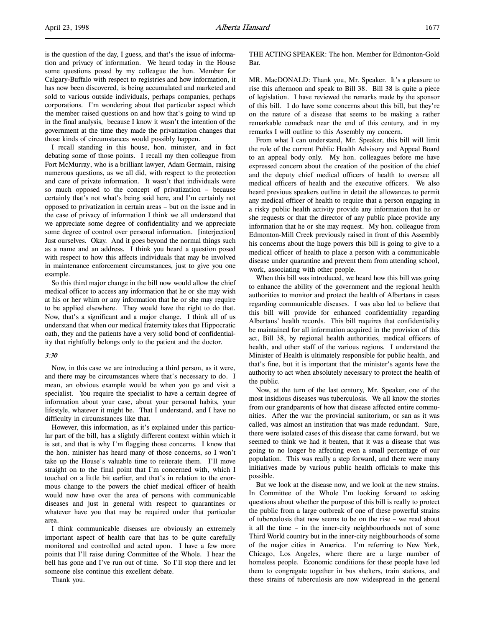is the question of the day, I guess, and that's the issue of information and privacy of information. We heard today in the House some questions posed by my colleague the hon. Member for Calgary-Buffalo with respect to registries and how information, it has now been discovered, is being accumulated and marketed and sold to various outside individuals, perhaps companies, perhaps corporations. I'm wondering about that particular aspect which the member raised questions on and how that's going to wind up in the final analysis, because I know it wasn't the intention of the government at the time they made the privatization changes that those kinds of circumstances would possibly happen.

I recall standing in this house, hon. minister, and in fact debating some of those points. I recall my then colleague from Fort McMurray, who is a brilliant lawyer, Adam Germain, raising numerous questions, as we all did, with respect to the protection and care of private information. It wasn't that individuals were so much opposed to the concept of privatization – because certainly that's not what's being said here, and I'm certainly not opposed to privatization in certain areas – but on the issue and in the case of privacy of information I think we all understand that we appreciate some degree of confidentiality and we appreciate some degree of control over personal information. [interjection] Just ourselves. Okay. And it goes beyond the normal things such as a name and an address. I think you heard a question posed with respect to how this affects individuals that may be involved in maintenance enforcement circumstances, just to give you one example.

So this third major change in the bill now would allow the chief medical officer to access any information that he or she may wish at his or her whim or any information that he or she may require to be applied elsewhere. They would have the right to do that. Now, that's a significant and a major change. I think all of us understand that when our medical fraternity takes that Hippocratic oath, they and the patients have a very solid bond of confidentiality that rightfully belongs only to the patient and the doctor.

#### 3:30

Now, in this case we are introducing a third person, as it were, and there may be circumstances where that's necessary to do. I mean, an obvious example would be when you go and visit a specialist. You require the specialist to have a certain degree of information about your case, about your personal habits, your lifestyle, whatever it might be. That I understand, and I have no difficulty in circumstances like that.

However, this information, as it's explained under this particular part of the bill, has a slightly different context within which it is set, and that is why I'm flagging those concerns. I know that the hon. minister has heard many of those concerns, so I won't take up the House's valuable time to reiterate them. I'll move straight on to the final point that I'm concerned with, which I touched on a little bit earlier, and that's in relation to the enormous change to the powers the chief medical officer of health would now have over the area of persons with communicable diseases and just in general with respect to quarantines or whatever have you that may be required under that particular area.

I think communicable diseases are obviously an extremely important aspect of health care that has to be quite carefully monitored and controlled and acted upon. I have a few more points that I'll raise during Committee of the Whole. I hear the bell has gone and I've run out of time. So I'll stop there and let someone else continue this excellent debate.

Thank you.

THE ACTING SPEAKER: The hon. Member for Edmonton-Gold Bar.

MR. MacDONALD: Thank you, Mr. Speaker. It's a pleasure to rise this afternoon and speak to Bill 38. Bill 38 is quite a piece of legislation. I have reviewed the remarks made by the sponsor of this bill. I do have some concerns about this bill, but they're on the nature of a disease that seems to be making a rather remarkable comeback near the end of this century, and in my remarks I will outline to this Assembly my concern.

From what I can understand, Mr. Speaker, this bill will limit the role of the current Public Health Advisory and Appeal Board to an appeal body only. My hon. colleagues before me have expressed concern about the creation of the position of the chief and the deputy chief medical officers of health to oversee all medical officers of health and the executive officers. We also heard previous speakers outline in detail the allowances to permit any medical officer of health to require that a person engaging in a risky public health activity provide any information that he or she requests or that the director of any public place provide any information that he or she may request. My hon. colleague from Edmonton-Mill Creek previously raised in front of this Assembly his concerns about the huge powers this bill is going to give to a medical officer of health to place a person with a communicable disease under quarantine and prevent them from attending school, work, associating with other people.

When this bill was introduced, we heard how this bill was going to enhance the ability of the government and the regional health authorities to monitor and protect the health of Albertans in cases regarding communicable diseases. I was also led to believe that this bill will provide for enhanced confidentiality regarding Albertans' health records. This bill requires that confidentiality be maintained for all information acquired in the provision of this act, Bill 38, by regional health authorities, medical officers of health, and other staff of the various regions. I understand the Minister of Health is ultimately responsible for public health, and that's fine, but it is important that the minister's agents have the authority to act when absolutely necessary to protect the health of the public.

Now, at the turn of the last century, Mr. Speaker, one of the most insidious diseases was tuberculosis. We all know the stories from our grandparents of how that disease affected entire communities. After the war the provincial sanitorium, or san as it was called, was almost an institution that was made redundant. Sure, there were isolated cases of this disease that came forward, but we seemed to think we had it beaten, that it was a disease that was going to no longer be affecting even a small percentage of our population. This was really a step forward, and there were many initiatives made by various public health officials to make this possible.

But we look at the disease now, and we look at the new strains. In Committee of the Whole I'm looking forward to asking questions about whether the purpose of this bill is really to protect the public from a large outbreak of one of these powerful strains of tuberculosis that now seems to be on the rise – we read about it all the time – in the inner-city neighbourhoods not of some Third World country but in the inner-city neighbourhoods of some of the major cities in America. I'm referring to New York, Chicago, Los Angeles, where there are a large number of homeless people. Economic conditions for these people have led them to congregate together in bus shelters, train stations, and these strains of tuberculosis are now widespread in the general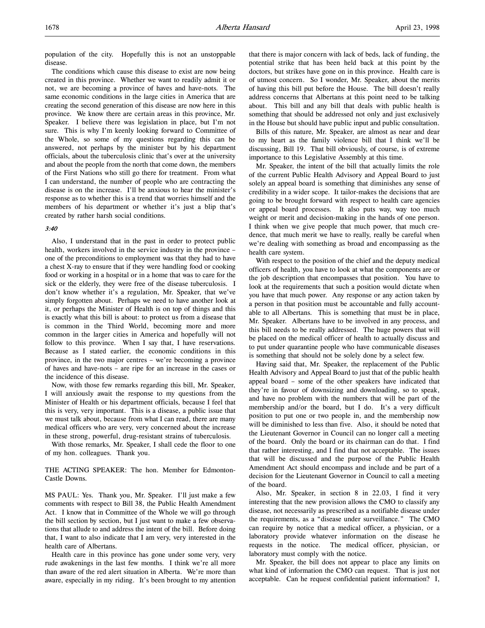population of the city. Hopefully this is not an unstoppable disease.

The conditions which cause this disease to exist are now being created in this province. Whether we want to readily admit it or not, we are becoming a province of haves and have-nots. The same economic conditions in the large cities in America that are creating the second generation of this disease are now here in this province. We know there are certain areas in this province, Mr. Speaker. I believe there was legislation in place, but I'm not sure. This is why I'm keenly looking forward to Committee of the Whole, so some of my questions regarding this can be answered, not perhaps by the minister but by his department officials, about the tuberculosis clinic that's over at the university and about the people from the north that come down, the members of the First Nations who still go there for treatment. From what I can understand, the number of people who are contracting the disease is on the increase. I'll be anxious to hear the minister's response as to whether this is a trend that worries himself and the members of his department or whether it's just a blip that's created by rather harsh social conditions.

### 3:40

Also, I understand that in the past in order to protect public health, workers involved in the service industry in the province – one of the preconditions to employment was that they had to have a chest X-ray to ensure that if they were handling food or cooking food or working in a hospital or in a home that was to care for the sick or the elderly, they were free of the disease tuberculosis. I don't know whether it's a regulation, Mr. Speaker, that we've simply forgotten about. Perhaps we need to have another look at it, or perhaps the Minister of Health is on top of things and this is exactly what this bill is about: to protect us from a disease that is common in the Third World, becoming more and more common in the larger cities in America and hopefully will not follow to this province. When I say that, I have reservations. Because as I stated earlier, the economic conditions in this province, in the two major centres – we're becoming a province of haves and have-nots – are ripe for an increase in the cases or the incidence of this disease.

Now, with those few remarks regarding this bill, Mr. Speaker, I will anxiously await the response to my questions from the Minister of Health or his department officials, because I feel that this is very, very important. This is a disease, a public issue that we must talk about, because from what I can read, there are many medical officers who are very, very concerned about the increase in these strong, powerful, drug-resistant strains of tuberculosis.

With those remarks, Mr. Speaker, I shall cede the floor to one of my hon. colleagues. Thank you.

# THE ACTING SPEAKER: The hon. Member for Edmonton-Castle Downs.

MS PAUL: Yes. Thank you, Mr. Speaker. I'll just make a few comments with respect to Bill 38, the Public Health Amendment Act. I know that in Committee of the Whole we will go through the bill section by section, but I just want to make a few observations that allude to and address the intent of the bill. Before doing that, I want to also indicate that I am very, very interested in the health care of Albertans.

Health care in this province has gone under some very, very rude awakenings in the last few months. I think we're all more than aware of the red alert situation in Alberta. We're more than aware, especially in my riding. It's been brought to my attention

that there is major concern with lack of beds, lack of funding, the potential strike that has been held back at this point by the doctors, but strikes have gone on in this province. Health care is of utmost concern. So I wonder, Mr. Speaker, about the merits of having this bill put before the House. The bill doesn't really address concerns that Albertans at this point need to be talking about. This bill and any bill that deals with public health is something that should be addressed not only and just exclusively in the House but should have public input and public consultation.

Bills of this nature, Mr. Speaker, are almost as near and dear to my heart as the family violence bill that I think we'll be discussing, Bill 19. That bill obviously, of course, is of extreme importance to this Legislative Assembly at this time.

Mr. Speaker, the intent of the bill that actually limits the role of the current Public Health Advisory and Appeal Board to just solely an appeal board is something that diminishes any sense of credibility in a wider scope. It tailor-makes the decisions that are going to be brought forward with respect to health care agencies or appeal board processes. It also puts way, way too much weight or merit and decision-making in the hands of one person. I think when we give people that much power, that much credence, that much merit we have to really, really be careful when we're dealing with something as broad and encompassing as the health care system.

With respect to the position of the chief and the deputy medical officers of health, you have to look at what the components are or the job description that encompasses that position. You have to look at the requirements that such a position would dictate when you have that much power. Any response or any action taken by a person in that position must be accountable and fully accountable to all Albertans. This is something that must be in place, Mr. Speaker. Albertans have to be involved in any process, and this bill needs to be really addressed. The huge powers that will be placed on the medical officer of health to actually discuss and to put under quarantine people who have communicable diseases is something that should not be solely done by a select few.

Having said that, Mr. Speaker, the replacement of the Public Health Advisory and Appeal Board to just that of the public health appeal board – some of the other speakers have indicated that they're in favour of downsizing and downloading, so to speak, and have no problem with the numbers that will be part of the membership and/or the board, but I do. It's a very difficult position to put one or two people in, and the membership now will be diminished to less than five. Also, it should be noted that the Lieutenant Governor in Council can no longer call a meeting of the board. Only the board or its chairman can do that. I find that rather interesting, and I find that not acceptable. The issues that will be discussed and the purpose of the Public Health Amendment Act should encompass and include and be part of a decision for the Lieutenant Governor in Council to call a meeting of the board.

Also, Mr. Speaker, in section 8 in 22.03, I find it very interesting that the new provision allows the CMO to classify any disease, not necessarily as prescribed as a notifiable disease under the requirements, as a "disease under surveillance." The CMO can require by notice that a medical officer, a physician, or a laboratory provide whatever information on the disease he requests in the notice. The medical officer, physician, or laboratory must comply with the notice.

Mr. Speaker, the bill does not appear to place any limits on what kind of information the CMO can request. That is just not acceptable. Can he request confidential patient information? I,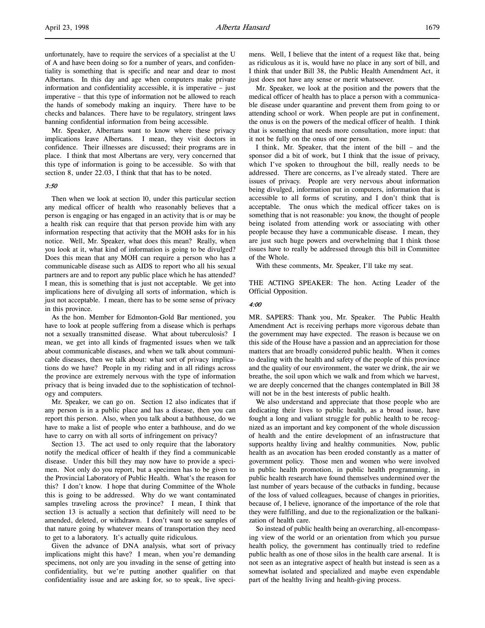unfortunately, have to require the services of a specialist at the U of A and have been doing so for a number of years, and confidentiality is something that is specific and near and dear to most Albertans. In this day and age when computers make private information and confidentiality accessible, it is imperative – just imperative – that this type of information not be allowed to reach the hands of somebody making an inquiry. There have to be checks and balances. There have to be regulatory, stringent laws banning confidential information from being accessible.

Mr. Speaker, Albertans want to know where these privacy implications leave Albertans. I mean, they visit doctors in confidence. Their illnesses are discussed; their programs are in place. I think that most Albertans are very, very concerned that this type of information is going to be accessible. So with that section 8, under 22.03, I think that that has to be noted.

#### 3:50

Then when we look at section 10, under this particular section any medical officer of health who reasonably believes that a person is engaging or has engaged in an activity that is or may be a health risk can require that that person provide him with any information respecting that activity that the MOH asks for in his notice. Well, Mr. Speaker, what does this mean? Really, when you look at it, what kind of information is going to be divulged? Does this mean that any MOH can require a person who has a communicable disease such as AIDS to report who all his sexual partners are and to report any public place which he has attended? I mean, this is something that is just not acceptable. We get into implications here of divulging all sorts of information, which is just not acceptable. I mean, there has to be some sense of privacy in this province.

As the hon. Member for Edmonton-Gold Bar mentioned, you have to look at people suffering from a disease which is perhaps not a sexually transmitted disease. What about tuberculosis? I mean, we get into all kinds of fragmented issues when we talk about communicable diseases, and when we talk about communicable diseases, then we talk about: what sort of privacy implications do we have? People in my riding and in all ridings across the province are extremely nervous with the type of information privacy that is being invaded due to the sophistication of technology and computers.

Mr. Speaker, we can go on. Section 12 also indicates that if any person is in a public place and has a disease, then you can report this person. Also, when you talk about a bathhouse, do we have to make a list of people who enter a bathhouse, and do we have to carry on with all sorts of infringement on privacy?

Section 13. The act used to only require that the laboratory notify the medical officer of health if they find a communicable disease. Under this bill they may now have to provide a specimen. Not only do you report, but a specimen has to be given to the Provincial Laboratory of Public Health. What's the reason for this? I don't know. I hope that during Committee of the Whole this is going to be addressed. Why do we want contaminated samples traveling across the province? I mean, I think that section 13 is actually a section that definitely will need to be amended, deleted, or withdrawn. I don't want to see samples of that nature going by whatever means of transportation they need to get to a laboratory. It's actually quite ridiculous.

Given the advance of DNA analysis, what sort of privacy implications might this have? I mean, when you're demanding specimens, not only are you invading in the sense of getting into confidentiality, but we're putting another qualifier on that confidentiality issue and are asking for, so to speak, live specimens. Well, I believe that the intent of a request like that, being as ridiculous as it is, would have no place in any sort of bill, and I think that under Bill 38, the Public Health Amendment Act, it just does not have any sense or merit whatsoever.

Mr. Speaker, we look at the position and the powers that the medical officer of health has to place a person with a communicable disease under quarantine and prevent them from going to or attending school or work. When people are put in confinement, the onus is on the powers of the medical officer of health. I think that is something that needs more consultation, more input: that it not be fully on the onus of one person.

I think, Mr. Speaker, that the intent of the bill – and the sponsor did a bit of work, but I think that the issue of privacy, which I've spoken to throughout the bill, really needs to be addressed. There are concerns, as I've already stated. There are issues of privacy. People are very nervous about information being divulged, information put in computers, information that is accessible to all forms of scrutiny, and I don't think that is acceptable. The onus which the medical officer takes on is something that is not reasonable: you know, the thought of people being isolated from attending work or associating with other people because they have a communicable disease. I mean, they are just such huge powers and overwhelming that I think those issues have to really be addressed through this bill in Committee of the Whole.

With these comments, Mr. Speaker, I'll take my seat.

THE ACTING SPEAKER: The hon. Acting Leader of the Official Opposition.

#### 4:00

MR. SAPERS: Thank you, Mr. Speaker. The Public Health Amendment Act is receiving perhaps more vigorous debate than the government may have expected. The reason is because we on this side of the House have a passion and an appreciation for those matters that are broadly considered public health. When it comes to dealing with the health and safety of the people of this province and the quality of our environment, the water we drink, the air we breathe, the soil upon which we walk and from which we harvest, we are deeply concerned that the changes contemplated in Bill 38 will not be in the best interests of public health.

We also understand and appreciate that those people who are dedicating their lives to public health, as a broad issue, have fought a long and valiant struggle for public health to be recognized as an important and key component of the whole discussion of health and the entire development of an infrastructure that supports healthy living and healthy communities. Now, public health as an avocation has been eroded constantly as a matter of government policy. Those men and women who were involved in public health promotion, in public health programming, in public health research have found themselves undermined over the last number of years because of the cutbacks in funding, because of the loss of valued colleagues, because of changes in priorities, because of, I believe, ignorance of the importance of the role that they were fulfilling, and due to the regionalization or the balkanization of health care.

So instead of public health being an overarching, all-encompassing view of the world or an orientation from which you pursue health policy, the government has continually tried to redefine public health as one of those silos in the health care arsenal. It is not seen as an integrative aspect of health but instead is seen as a somewhat isolated and specialized and maybe even expendable part of the healthy living and health-giving process.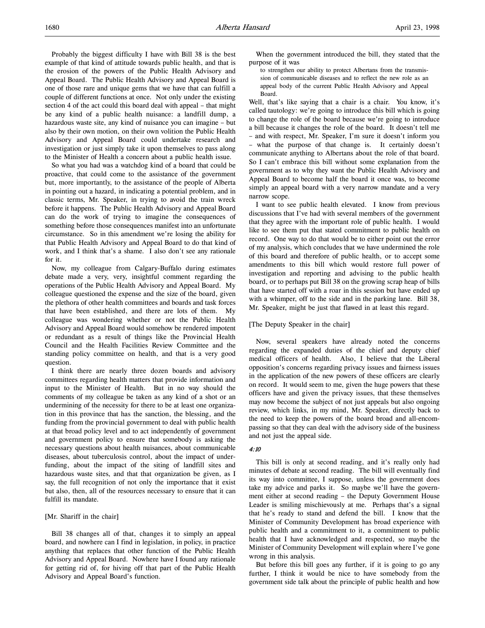Probably the biggest difficulty I have with Bill 38 is the best example of that kind of attitude towards public health, and that is the erosion of the powers of the Public Health Advisory and Appeal Board. The Public Health Advisory and Appeal Board is one of those rare and unique gems that we have that can fulfill a couple of different functions at once. Not only under the existing section 4 of the act could this board deal with appeal – that might be any kind of a public health nuisance: a landfill dump, a hazardous waste site, any kind of nuisance you can imagine – but also by their own motion, on their own volition the Public Health Advisory and Appeal Board could undertake research and investigation or just simply take it upon themselves to pass along to the Minister of Health a concern about a public health issue.

So what you had was a watchdog kind of a board that could be proactive, that could come to the assistance of the government but, more importantly, to the assistance of the people of Alberta in pointing out a hazard, in indicating a potential problem, and in classic terms, Mr. Speaker, in trying to avoid the train wreck before it happens. The Public Health Advisory and Appeal Board can do the work of trying to imagine the consequences of something before those consequences manifest into an unfortunate circumstance. So in this amendment we're losing the ability for that Public Health Advisory and Appeal Board to do that kind of work, and I think that's a shame. I also don't see any rationale for it.

Now, my colleague from Calgary-Buffalo during estimates debate made a very, very, insightful comment regarding the operations of the Public Health Advisory and Appeal Board. My colleague questioned the expense and the size of the board, given the plethora of other health committees and boards and task forces that have been established, and there are lots of them. My colleague was wondering whether or not the Public Health Advisory and Appeal Board would somehow be rendered impotent or redundant as a result of things like the Provincial Health Council and the Health Facilities Review Committee and the standing policy committee on health, and that is a very good question.

I think there are nearly three dozen boards and advisory committees regarding health matters that provide information and input to the Minister of Health. But in no way should the comments of my colleague be taken as any kind of a shot or an undermining of the necessity for there to be at least one organization in this province that has the sanction, the blessing, and the funding from the provincial government to deal with public health at that broad policy level and to act independently of government and government policy to ensure that somebody is asking the necessary questions about health nuisances, about communicable diseases, about tuberculosis control, about the impact of underfunding, about the impact of the siting of landfill sites and hazardous waste sites, and that that organization be given, as I say, the full recognition of not only the importance that it exist but also, then, all of the resources necessary to ensure that it can fulfill its mandate.

#### [Mr. Shariff in the chair]

Bill 38 changes all of that, changes it to simply an appeal board, and nowhere can I find in legislation, in policy, in practice anything that replaces that other function of the Public Health Advisory and Appeal Board. Nowhere have I found any rationale for getting rid of, for hiving off that part of the Public Health Advisory and Appeal Board's function.

When the government introduced the bill, they stated that the purpose of it was

to strengthen our ability to protect Albertans from the transmission of communicable diseases and to reflect the new role as an appeal body of the current Public Health Advisory and Appeal Board.

Well, that's like saying that a chair is a chair. You know, it's called tautology: we're going to introduce this bill which is going to change the role of the board because we're going to introduce a bill because it changes the role of the board. It doesn't tell me – and with respect, Mr. Speaker, I'm sure it doesn't inform you – what the purpose of that change is. It certainly doesn't communicate anything to Albertans about the role of that board. So I can't embrace this bill without some explanation from the government as to why they want the Public Health Advisory and Appeal Board to become half the board it once was, to become simply an appeal board with a very narrow mandate and a very narrow scope.

I want to see public health elevated. I know from previous discussions that I've had with several members of the government that they agree with the important role of public health. I would like to see them put that stated commitment to public health on record. One way to do that would be to either point out the error of my analysis, which concludes that we have undermined the role of this board and therefore of public health, or to accept some amendments to this bill which would restore full power of investigation and reporting and advising to the public health board, or to perhaps put Bill 38 on the growing scrap heap of bills that have started off with a roar in this session but have ended up with a whimper, off to the side and in the parking lane. Bill 38, Mr. Speaker, might be just that flawed in at least this regard.

#### [The Deputy Speaker in the chair]

Now, several speakers have already noted the concerns regarding the expanded duties of the chief and deputy chief medical officers of health. Also, I believe that the Liberal opposition's concerns regarding privacy issues and fairness issues in the application of the new powers of these officers are clearly on record. It would seem to me, given the huge powers that these officers have and given the privacy issues, that these themselves may now become the subject of not just appeals but also ongoing review, which links, in my mind, Mr. Speaker, directly back to the need to keep the powers of the board broad and all-encompassing so that they can deal with the advisory side of the business and not just the appeal side.

### 4:10

This bill is only at second reading, and it's really only had minutes of debate at second reading. The bill will eventually find its way into committee, I suppose, unless the government does take my advice and parks it. So maybe we'll have the government either at second reading – the Deputy Government House Leader is smiling mischievously at me. Perhaps that's a signal that he's ready to stand and defend the bill. I know that the Minister of Community Development has broad experience with public health and a commitment to it, a commitment to public health that I have acknowledged and respected, so maybe the Minister of Community Development will explain where I've gone wrong in this analysis.

But before this bill goes any further, if it is going to go any further, I think it would be nice to have somebody from the government side talk about the principle of public health and how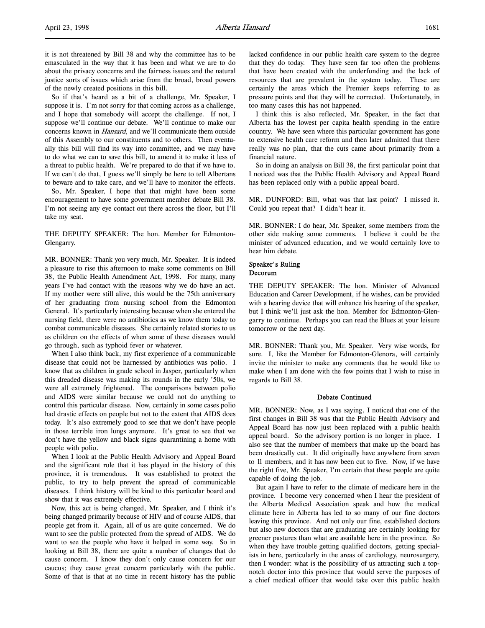it is not threatened by Bill 38 and why the committee has to be emasculated in the way that it has been and what we are to do about the privacy concerns and the fairness issues and the natural justice sorts of issues which arise from the broad, broad powers of the newly created positions in this bill.

So if that's heard as a bit of a challenge, Mr. Speaker, I suppose it is. I'm not sorry for that coming across as a challenge, and I hope that somebody will accept the challenge. If not, I suppose we'll continue our debate. We'll continue to make our concerns known in Hansard, and we'll communicate them outside of this Assembly to our constituents and to others. Then eventually this bill will find its way into committee, and we may have to do what we can to save this bill, to amend it to make it less of a threat to public health. We're prepared to do that if we have to. If we can't do that, I guess we'll simply be here to tell Albertans to beware and to take care, and we'll have to monitor the effects.

So, Mr. Speaker, I hope that that might have been some encouragement to have some government member debate Bill 38. I'm not seeing any eye contact out there across the floor, but I'll take my seat.

THE DEPUTY SPEAKER: The hon. Member for Edmonton-Glengarry.

MR. BONNER: Thank you very much, Mr. Speaker. It is indeed a pleasure to rise this afternoon to make some comments on Bill 38, the Public Health Amendment Act, 1998. For many, many years I've had contact with the reasons why we do have an act. If my mother were still alive, this would be the 75th anniversary of her graduating from nursing school from the Edmonton General. It's particularly interesting because when she entered the nursing field, there were no antibiotics as we know them today to combat communicable diseases. She certainly related stories to us as children on the effects of when some of these diseases would go through, such as typhoid fever or whatever.

When I also think back, my first experience of a communicable disease that could not be harnessed by antibiotics was polio. I know that as children in grade school in Jasper, particularly when this dreaded disease was making its rounds in the early '50s, we were all extremely frightened. The comparisons between polio and AIDS were similar because we could not do anything to control this particular disease. Now, certainly in some cases polio had drastic effects on people but not to the extent that AIDS does today. It's also extremely good to see that we don't have people in those terrible iron lungs anymore. It's great to see that we don't have the yellow and black signs quarantining a home with people with polio.

When I look at the Public Health Advisory and Appeal Board and the significant role that it has played in the history of this province, it is tremendous. It was established to protect the public, to try to help prevent the spread of communicable diseases. I think history will be kind to this particular board and show that it was extremely effective.

Now, this act is being changed, Mr. Speaker, and I think it's being changed primarily because of HIV and of course AIDS, that people get from it. Again, all of us are quite concerned. We do want to see the public protected from the spread of AIDS. We do want to see the people who have it helped in some way. So in looking at Bill 38, there are quite a number of changes that do cause concern. I know they don't only cause concern for our caucus; they cause great concern particularly with the public. Some of that is that at no time in recent history has the public

lacked confidence in our public health care system to the degree that they do today. They have seen far too often the problems that have been created with the underfunding and the lack of resources that are prevalent in the system today. These are certainly the areas which the Premier keeps referring to as pressure points and that they will be corrected. Unfortunately, in too many cases this has not happened.

I think this is also reflected, Mr. Speaker, in the fact that Alberta has the lowest per capita health spending in the entire country. We have seen where this particular government has gone to extensive health care reform and then later admitted that there really was no plan, that the cuts came about primarily from a financial nature.

So in doing an analysis on Bill 38, the first particular point that I noticed was that the Public Health Advisory and Appeal Board has been replaced only with a public appeal board.

MR. DUNFORD: Bill, what was that last point? I missed it. Could you repeat that? I didn't hear it.

MR. BONNER: I do hear, Mr. Speaker, some members from the other side making some comments. I believe it could be the minister of advanced education, and we would certainly love to hear him debate.

### Speaker's Ruling Decorum

THE DEPUTY SPEAKER: The hon. Minister of Advanced Education and Career Development, if he wishes, can be provided with a hearing device that will enhance his hearing of the speaker, but I think we'll just ask the hon. Member for Edmonton-Glengarry to continue. Perhaps you can read the Blues at your leisure tomorrow or the next day.

MR. BONNER: Thank you, Mr. Speaker. Very wise words, for sure. I, like the Member for Edmonton-Glenora, will certainly invite the minister to make any comments that he would like to make when I am done with the few points that I wish to raise in regards to Bill 38.

### Debate Continued

MR. BONNER: Now, as I was saying, I noticed that one of the first changes in Bill 38 was that the Public Health Advisory and Appeal Board has now just been replaced with a public health appeal board. So the advisory portion is no longer in place. I also see that the number of members that make up the board has been drastically cut. It did originally have anywhere from seven to 11 members, and it has now been cut to five. Now, if we have the right five, Mr. Speaker, I'm certain that these people are quite capable of doing the job.

But again I have to refer to the climate of medicare here in the province. I become very concerned when I hear the president of the Alberta Medical Association speak and how the medical climate here in Alberta has led to so many of our fine doctors leaving this province. And not only our fine, established doctors but also new doctors that are graduating are certainly looking for greener pastures than what are available here in the province. So when they have trouble getting qualified doctors, getting specialists in here, particularly in the areas of cardiology, neurosurgery, then I wonder: what is the possibility of us attracting such a topnotch doctor into this province that would serve the purposes of a chief medical officer that would take over this public health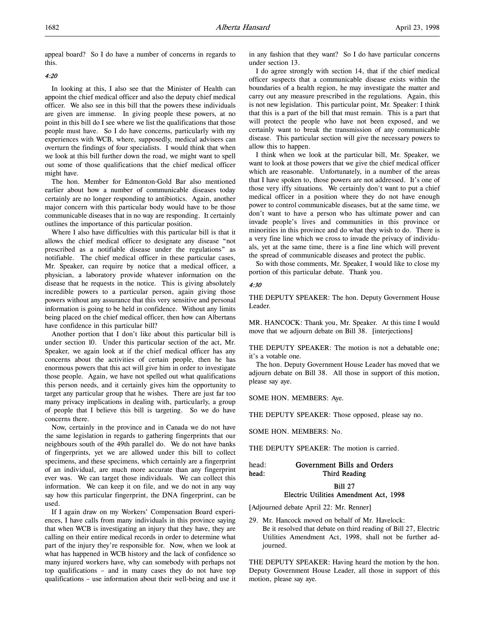appeal board? So I do have a number of concerns in regards to this.

### 4:20

In looking at this, I also see that the Minister of Health can appoint the chief medical officer and also the deputy chief medical officer. We also see in this bill that the powers these individuals are given are immense. In giving people these powers, at no point in this bill do I see where we list the qualifications that those people must have. So I do have concerns, particularly with my experiences with WCB, where, supposedly, medical advisers can overturn the findings of four specialists. I would think that when we look at this bill further down the road, we might want to spell out some of those qualifications that the chief medical officer might have.

The hon. Member for Edmonton-Gold Bar also mentioned earlier about how a number of communicable diseases today certainly are no longer responding to antibiotics. Again, another major concern with this particular body would have to be those communicable diseases that in no way are responding. It certainly outlines the importance of this particular position.

Where I also have difficulties with this particular bill is that it allows the chief medical officer to designate any disease "not prescribed as a notifiable disease under the regulations" as notifiable. The chief medical officer in these particular cases, Mr. Speaker, can require by notice that a medical officer, a physician, a laboratory provide whatever information on the disease that he requests in the notice. This is giving absolutely incredible powers to a particular person, again giving those powers without any assurance that this very sensitive and personal information is going to be held in confidence. Without any limits being placed on the chief medical officer, then how can Albertans have confidence in this particular bill?

Another portion that I don't like about this particular bill is under section 10. Under this particular section of the act, Mr. Speaker, we again look at if the chief medical officer has any concerns about the activities of certain people, then he has enormous powers that this act will give him in order to investigate those people. Again, we have not spelled out what qualifications this person needs, and it certainly gives him the opportunity to target any particular group that he wishes. There are just far too many privacy implications in dealing with, particularly, a group of people that I believe this bill is targeting. So we do have concerns there.

Now, certainly in the province and in Canada we do not have the same legislation in regards to gathering fingerprints that our neighbours south of the 49th parallel do. We do not have banks of fingerprints, yet we are allowed under this bill to collect specimens, and these specimens, which certainly are a fingerprint of an individual, are much more accurate than any fingerprint ever was. We can target those individuals. We can collect this information. We can keep it on file, and we do not in any way say how this particular fingerprint, the DNA fingerprint, can be used.

If I again draw on my Workers' Compensation Board experiences, I have calls from many individuals in this province saying that when WCB is investigating an injury that they have, they are calling on their entire medical records in order to determine what part of the injury they're responsible for. Now, when we look at what has happened in WCB history and the lack of confidence so many injured workers have, why can somebody with perhaps not top qualifications – and in many cases they do not have top qualifications – use information about their well-being and use it in any fashion that they want? So I do have particular concerns under section 13.

I do agree strongly with section 14, that if the chief medical officer suspects that a communicable disease exists within the boundaries of a health region, he may investigate the matter and carry out any measure prescribed in the regulations. Again, this is not new legislation. This particular point, Mr. Speaker: I think that this is a part of the bill that must remain. This is a part that will protect the people who have not been exposed, and we certainly want to break the transmission of any communicable disease. This particular section will give the necessary powers to allow this to happen.

I think when we look at the particular bill, Mr. Speaker, we want to look at those powers that we give the chief medical officer which are reasonable. Unfortunately, in a number of the areas that I have spoken to, those powers are not addressed. It's one of those very iffy situations. We certainly don't want to put a chief medical officer in a position where they do not have enough power to control communicable diseases, but at the same time, we don't want to have a person who has ultimate power and can invade people's lives and communities in this province or minorities in this province and do what they wish to do. There is a very fine line which we cross to invade the privacy of individuals, yet at the same time, there is a fine line which will prevent the spread of communicable diseases and protect the public.

So with those comments, Mr. Speaker, I would like to close my portion of this particular debate. Thank you.

#### 4:30

THE DEPUTY SPEAKER: The hon. Deputy Government House Leader.

MR. HANCOCK: Thank you, Mr. Speaker. At this time I would move that we adjourn debate on Bill 38. [interjections]

THE DEPUTY SPEAKER: The motion is not a debatable one; it's a votable one.

The hon. Deputy Government House Leader has moved that we adjourn debate on Bill 38. All those in support of this motion, please say aye.

SOME HON. MEMBERS: Aye.

THE DEPUTY SPEAKER: Those opposed, please say no.

SOME HON. MEMBERS: No.

THE DEPUTY SPEAKER: The motion is carried.

# head: Government Bills and Orders head: Third Reading

### Bill 27 Electric Utilities Amendment Act, 1998

[Adjourned debate April 22: Mr. Renner]

29. Mr. Hancock moved on behalf of Mr. Havelock: Be it resolved that debate on third reading of Bill 27, Electric Utilities Amendment Act, 1998, shall not be further adjourned.

THE DEPUTY SPEAKER: Having heard the motion by the hon. Deputy Government House Leader, all those in support of this motion, please say aye.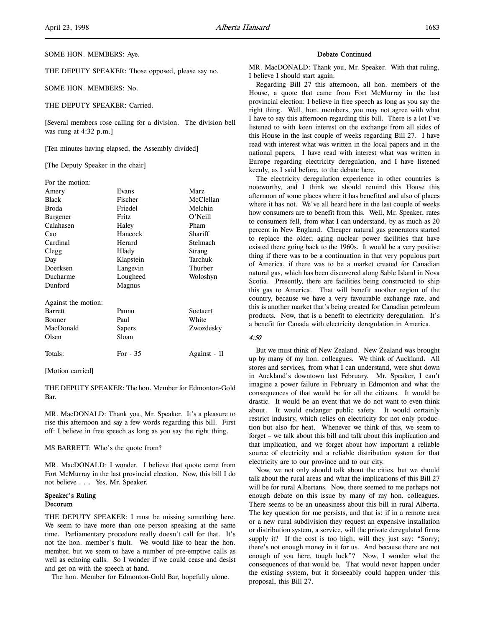THE DEPUTY SPEAKER: Those opposed, please say no.

SOME HON. MEMBERS: No.

THE DEPUTY SPEAKER: Carried.

[Several members rose calling for a division. The division bell was rung at 4:32 p.m.]

[Ten minutes having elapsed, the Assembly divided]

[The Deputy Speaker in the chair]

| For the motion:     |           |              |
|---------------------|-----------|--------------|
| Amery               | Evans     | Marz         |
| <b>Black</b>        | Fischer   | McClellan    |
| <b>Broda</b>        | Friedel   | Melchin      |
| Burgener            | Fritz     | O'Neill      |
| Calahasen           | Haley     | Pham         |
| Cao                 | Hancock   | Shariff      |
| Cardinal            | Herard    | Stelmach     |
| Clegg               | Hlady     | Strang       |
| Day                 | Klapstein | Tarchuk      |
| Doerksen            | Langevin  | Thurber      |
| Ducharme            | Lougheed  | Woloshyn     |
| Dunford             | Magnus    |              |
| Against the motion: |           |              |
| <b>Barrett</b>      | Pannu     | Soetaert     |
| <b>Bonner</b>       | Paul      | White        |
| MacDonald           | Sapers    | Zwozdesky    |
| Olsen               | Sloan     |              |
| Totals:             | For $-35$ | Against - 11 |

[Motion carried]

THE DEPUTY SPEAKER: The hon. Member for Edmonton-Gold Bar.

MR. MacDONALD: Thank you, Mr. Speaker. It's a pleasure to rise this afternoon and say a few words regarding this bill. First off: I believe in free speech as long as you say the right thing.

#### MS BARRETT: Who's the quote from?

MR. MacDONALD: I wonder. I believe that quote came from Fort McMurray in the last provincial election. Now, this bill I do not believe . . . Yes, Mr. Speaker.

### Speaker's Ruling Decorum

THE DEPUTY SPEAKER: I must be missing something here. We seem to have more than one person speaking at the same time. Parliamentary procedure really doesn't call for that. It's not the hon. member's fault. We would like to hear the hon. member, but we seem to have a number of pre-emptive calls as well as echoing calls. So I wonder if we could cease and desist and get on with the speech at hand.

The hon. Member for Edmonton-Gold Bar, hopefully alone.

#### Debate Continued

MR. MacDONALD: Thank you, Mr. Speaker. With that ruling, I believe I should start again.

Regarding Bill 27 this afternoon, all hon. members of the House, a quote that came from Fort McMurray in the last provincial election: I believe in free speech as long as you say the right thing. Well, hon. members, you may not agree with what I have to say this afternoon regarding this bill. There is a lot I've listened to with keen interest on the exchange from all sides of this House in the last couple of weeks regarding Bill 27. I have read with interest what was written in the local papers and in the national papers. I have read with interest what was written in Europe regarding electricity deregulation, and I have listened keenly, as I said before, to the debate here.

The electricity deregulation experience in other countries is noteworthy, and I think we should remind this House this afternoon of some places where it has benefited and also of places where it has not. We've all heard here in the last couple of weeks how consumers are to benefit from this. Well, Mr. Speaker, rates to consumers fell, from what I can understand, by as much as 20 percent in New England. Cheaper natural gas generators started to replace the older, aging nuclear power facilities that have existed there going back to the 1960s. It would be a very positive thing if there was to be a continuation in that very populous part of America, if there was to be a market created for Canadian natural gas, which has been discovered along Sable Island in Nova Scotia. Presently, there are facilities being constructed to ship this gas to America. That will benefit another region of the country, because we have a very favourable exchange rate, and this is another market that's being created for Canadian petroleum products. Now, that is a benefit to electricity deregulation. It's a benefit for Canada with electricity deregulation in America.

#### 4:50

But we must think of New Zealand. New Zealand was brought up by many of my hon. colleagues. We think of Auckland. All stores and services, from what I can understand, were shut down in Auckland's downtown last February. Mr. Speaker, I can't imagine a power failure in February in Edmonton and what the consequences of that would be for all the citizens. It would be drastic. It would be an event that we do not want to even think about. It would endanger public safety. It would certainly restrict industry, which relies on electricity for not only production but also for heat. Whenever we think of this, we seem to forget – we talk about this bill and talk about this implication and that implication, and we forget about how important a reliable source of electricity and a reliable distribution system for that electricity are to our province and to our city.

Now, we not only should talk about the cities, but we should talk about the rural areas and what the implications of this Bill 27 will be for rural Albertans. Now, there seemed to me perhaps not enough debate on this issue by many of my hon. colleagues. There seems to be an uneasiness about this bill in rural Alberta. The key question for me persists, and that is: if in a remote area or a new rural subdivision they request an expensive installation or distribution system, a service, will the private deregulated firms supply it? If the cost is too high, will they just say: "Sorry; there's not enough money in it for us. And because there are not enough of you here, tough luck"? Now, I wonder what the consequences of that would be. That would never happen under the existing system, but it forseeably could happen under this proposal, this Bill 27.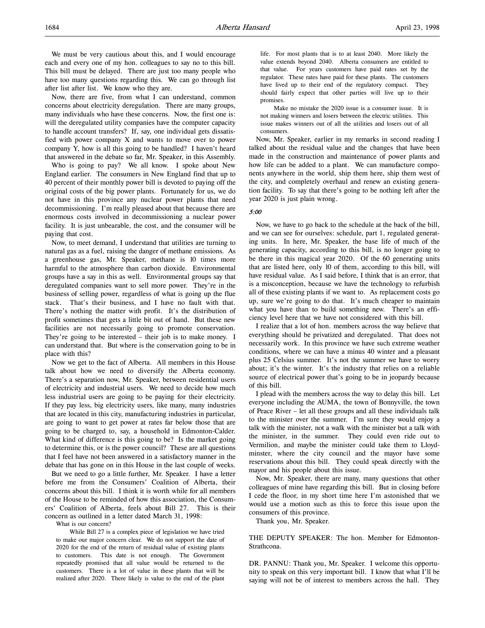We must be very cautious about this, and I would encourage each and every one of my hon. colleagues to say no to this bill. This bill must be delayed. There are just too many people who have too many questions regarding this. We can go through list after list after list. We know who they are.

Now, there are five, from what I can understand, common concerns about electricity deregulation. There are many groups, many individuals who have these concerns. Now, the first one is: will the deregulated utility companies have the computer capacity to handle account transfers? If, say, one individual gets dissatisfied with power company X and wants to move over to power company Y, how is all this going to be handled? I haven't heard that answered in the debate so far, Mr. Speaker, in this Assembly.

Who is going to pay? We all know. I spoke about New England earlier. The consumers in New England find that up to 40 percent of their monthly power bill is devoted to paying off the original costs of the big power plants. Fortunately for us, we do not have in this province any nuclear power plants that need decommissioning. I'm really pleased about that because there are enormous costs involved in decommissioning a nuclear power facility. It is just unbearable, the cost, and the consumer will be paying that cost.

Now, to meet demand, I understand that utilities are turning to natural gas as a fuel, raising the danger of methane emissions. As a greenhouse gas, Mr. Speaker, methane is 10 times more harmful to the atmosphere than carbon dioxide. Environmental groups have a say in this as well. Environmental groups say that deregulated companies want to sell more power. They're in the business of selling power, regardless of what is going up the flue stack. That's their business, and I have no fault with that. There's nothing the matter with profit. It's the distribution of profit sometimes that gets a little bit out of hand. But these new facilities are not necessarily going to promote conservation. They're going to be interested – their job is to make money. I can understand that. But where is the conservation going to be in place with this?

Now we get to the fact of Alberta. All members in this House talk about how we need to diversify the Alberta economy. There's a separation now, Mr. Speaker, between residential users of electricity and industrial users. We need to decide how much less industrial users are going to be paying for their electricity. If they pay less, big electricity users, like many, many industries that are located in this city, manufacturing industries in particular, are going to want to get power at rates far below those that are going to be charged to, say, a household in Edmonton-Calder. What kind of difference is this going to be? Is the market going to determine this, or is the power council? These are all questions that I feel have not been answered in a satisfactory manner in the debate that has gone on in this House in the last couple of weeks.

But we need to go a little further, Mr. Speaker. I have a letter before me from the Consumers' Coalition of Alberta, their concerns about this bill. I think it is worth while for all members of the House to be reminded of how this association, the Consumers' Coalition of Alberta, feels about Bill 27. This is their concern as outlined in a letter dated March 31, 1998:

What is our concern?

While Bill 27 is a complex piece of legislation we have tried to make our major concern clear. We do not support the date of 2020 for the end of the return of residual value of existing plants to customers. This date is not enough. The Government repeatedly promised that all value would be returned to the customers. There is a lot of value in these plants that will be realized after 2020. There likely is value to the end of the plant

life. For most plants that is to at least 2040. More likely the value extends beyond 2040. Alberta consumers are entitled to that value. For years customers have paid rates set by the regulator. These rates have paid for these plants. The customers have lived up to their end of the regulatory compact. They should fairly expect that other parties will live up to their promises.

Make no mistake the 2020 issue is a consumer issue. It is not making winners and losers between the electric utilities. This issue makes winners out of all the utilities and losers out of all consumers.

Now, Mr. Speaker, earlier in my remarks in second reading I talked about the residual value and the changes that have been made in the construction and maintenance of power plants and how life can be added to a plant. We can manufacture components anywhere in the world, ship them here, ship them west of the city, and completely overhaul and renew an existing generation facility. To say that there's going to be nothing left after the year 2020 is just plain wrong.

#### 5:00

Now, we have to go back to the schedule at the back of the bill, and we can see for ourselves: schedule, part 1, regulated generating units. In here, Mr. Speaker, the base life of much of the generating capacity, according to this bill, is no longer going to be there in this magical year 2020. Of the 60 generating units that are listed here, only 10 of them, according to this bill, will have residual value. As I said before, I think that is an error, that is a misconception, because we have the technology to refurbish all of these existing plants if we want to. As replacement costs go up, sure we're going to do that. It's much cheaper to maintain what you have than to build something new. There's an efficiency level here that we have not considered with this bill.

I realize that a lot of hon. members across the way believe that everything should be privatized and deregulated. That does not necessarily work. In this province we have such extreme weather conditions, where we can have a minus 40 winter and a pleasant plus 25 Celsius summer. It's not the summer we have to worry about; it's the winter. It's the industry that relies on a reliable source of electrical power that's going to be in jeopardy because of this bill.

I plead with the members across the way to delay this bill. Let everyone including the AUMA, the town of Bonnyville, the town of Peace River – let all these groups and all these individuals talk to the minister over the summer. I'm sure they would enjoy a talk with the minister, not a walk with the minister but a talk with the minister, in the summer. They could even ride out to Vermilion, and maybe the minister could take them to Lloydminster, where the city council and the mayor have some reservations about this bill. They could speak directly with the mayor and his people about this issue.

Now, Mr. Speaker, there are many, many questions that other colleagues of mine have regarding this bill. But in closing before I cede the floor, in my short time here I'm astonished that we would use a motion such as this to force this issue upon the consumers of this province.

Thank you, Mr. Speaker.

THE DEPUTY SPEAKER: The hon. Member for Edmonton-Strathcona.

DR. PANNU: Thank you, Mr. Speaker. I welcome this opportunity to speak on this very important bill. I know that what I'll be saying will not be of interest to members across the hall. They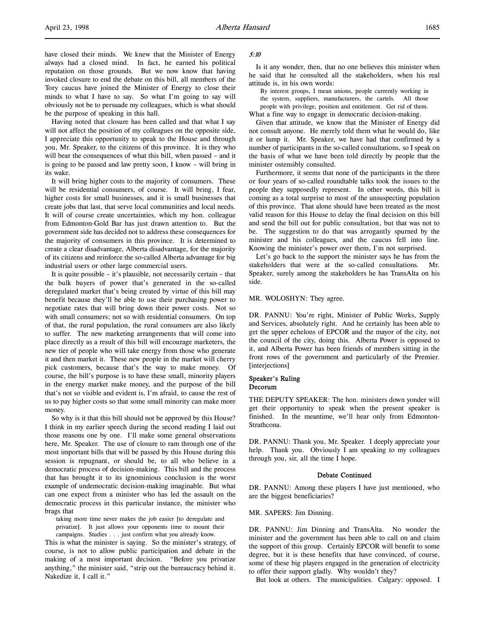have closed their minds. We knew that the Minister of Energy always had a closed mind. In fact, he earned his political reputation on those grounds. But we now know that having invoked closure to end the debate on this bill, all members of the Tory caucus have joined the Minister of Energy to close their minds to what I have to say. So what I'm going to say will obviously not be to persuade my colleagues, which is what should be the purpose of speaking in this hall.

Having noted that closure has been called and that what I say will not affect the position of my colleagues on the opposite side, I appreciate this opportunity to speak to the House and through you, Mr. Speaker, to the citizens of this province. It is they who will bear the consequences of what this bill, when passed – and it is going to be passed and law pretty soon, I know – will bring in its wake.

It will bring higher costs to the majority of consumers. These will be residential consumers, of course. It will bring, I fear, higher costs for small businesses, and it is small businesses that create jobs that last, that serve local communities and local needs. It will of course create uncertainties, which my hon. colleague from Edmonton-Gold Bar has just drawn attention to. But the government side has decided not to address these consequences for the majority of consumers in this province. It is determined to create a clear disadvantage, Alberta disadvantage, for the majority of its citizens and reinforce the so-called Alberta advantage for big industrial users or other large commercial users.

It is quite possible – it's plausible, not necessarily certain – that the bulk buyers of power that's generated in the so-called deregulated market that's being created by virtue of this bill may benefit because they'll be able to use their purchasing power to negotiate rates that will bring down their power costs. Not so with small consumers; not so with residential consumers. On top of that, the rural population, the rural consumers are also likely to suffer. The new marketing arrangements that will come into place directly as a result of this bill will encourage marketers, the new tier of people who will take energy from those who generate it and then market it. These new people in the market will cherry pick customers, because that's the way to make money. Of course, the bill's purpose is to have these small, minority players in the energy market make money, and the purpose of the bill that's not so visible and evident is, I'm afraid, to cause the rest of us to pay higher costs so that some small minority can make more money.

So why is it that this bill should not be approved by this House? I think in my earlier speech during the second reading I laid out those reasons one by one. I'll make some general observations here, Mr. Speaker. The use of closure to ram through one of the most important bills that will be passed by this House during this session is repugnant, or should be, to all who believe in a democratic process of decision-making. This bill and the process that has brought it to its ignominious conclusion is the worst example of undemocratic decision-making imaginable. But what can one expect from a minister who has led the assault on the democratic process in this particular instance, the minister who brags that

taking more time never makes the job easier [to deregulate and privatize]. It just allows your opponents time to mount their campaigns. Studies . . . just confirm what you already know.

This is what the minister is saying. So the minister's strategy, of course, is not to allow public participation and debate in the making of a most important decision. "Before you privatize anything," the minister said, "strip out the bureaucracy behind it. Nakedize it, I call it."

#### 5:10

Is it any wonder, then, that no one believes this minister when he said that he consulted all the stakeholders, when his real attitude is, in his own words:

By interest groups, I mean unions, people currently working in the system, suppliers, manufacturers, the cartels. All those

people with privilege, position and entitlement. Get rid of them. What a fine way to engage in democratic decision-making.

Given that attitude, we know that the Minister of Energy did not consult anyone. He merely told them what he would do, like it or lump it. Mr. Speaker, we have had that confirmed by a number of participants in the so-called consultations, so I speak on the basis of what we have been told directly by people that the minister ostensibly consulted.

Furthermore, it seems that none of the participants in the three or four years of so-called roundtable talks took the issues to the people they supposedly represent. In other words, this bill is coming as a total surprise to most of the unsuspecting population of this province. That alone should have been treated as the most valid reason for this House to delay the final decision on this bill and send the bill out for public consultation, but that was not to be. The suggestion to do that was arrogantly spurned by the minister and his colleagues, and the caucus fell into line. Knowing the minister's power over them, I'm not surprised.

Let's go back to the support the minister says he has from the stakeholders that were at the so-called consultations. Mr. Speaker, surely among the stakeholders he has TransAlta on his side.

#### MR. WOLOSHYN: They agree.

DR. PANNU: You're right, Minister of Public Works, Supply and Services, absolutely right. And he certainly has been able to get the upper echelons of EPCOR and the mayor of the city, not the council of the city, doing this. Alberta Power is opposed to it, and Alberta Power has been friends of members sitting in the front rows of the government and particularly of the Premier. [interjections]

#### Speaker's Ruling Decorum

THE DEPUTY SPEAKER: The hon. ministers down yonder will get their opportunity to speak when the present speaker is finished. In the meantime, we'll hear only from Edmonton-Strathcona.

DR. PANNU: Thank you, Mr. Speaker. I deeply appreciate your help. Thank you. Obviously I am speaking to my colleagues through you, sir, all the time I hope.

### Debate Continued

DR. PANNU: Among these players I have just mentioned, who are the biggest beneficiaries?

MR. SAPERS: Jim Dinning.

DR. PANNU: Jim Dinning and TransAlta. No wonder the minister and the government has been able to call on and claim the support of this group. Certainly EPCOR will benefit to some degree, but it is these benefits that have convinced, of course, some of these big players engaged in the generation of electricity to offer their support gladly. Why wouldn't they?

But look at others. The municipalities. Calgary: opposed. I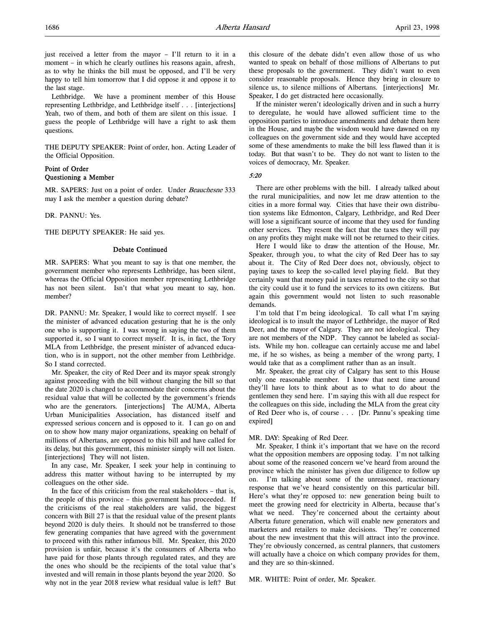just received a letter from the mayor – I'll return to it in a moment – in which he clearly outlines his reasons again, afresh, as to why he thinks the bill must be opposed, and I'll be very happy to tell him tomorrow that I did oppose it and oppose it to the last stage.

Lethbridge. We have a prominent member of this House representing Lethbridge, and Lethbridge itself . . . [interjections] Yeah, two of them, and both of them are silent on this issue. I guess the people of Lethbridge will have a right to ask them questions.

THE DEPUTY SPEAKER: Point of order, hon. Acting Leader of the Official Opposition.

# Point of Order Questioning a Member

MR. SAPERS: Just on a point of order. Under Beauchesne 333 may I ask the member a question during debate?

DR. PANNU: Yes.

THE DEPUTY SPEAKER: He said yes.

### Debate Continued

MR. SAPERS: What you meant to say is that one member, the government member who represents Lethbridge, has been silent, whereas the Official Opposition member representing Lethbridge has not been silent. Isn't that what you meant to say, hon. member?

DR. PANNU: Mr. Speaker, I would like to correct myself. I see the minister of advanced education gesturing that he is the only one who is supporting it. I was wrong in saying the two of them supported it, so I want to correct myself. It is, in fact, the Tory MLA from Lethbridge, the present minister of advanced education, who is in support, not the other member from Lethbridge. So I stand corrected.

Mr. Speaker, the city of Red Deer and its mayor speak strongly against proceeding with the bill without changing the bill so that the date 2020 is changed to accommodate their concerns about the residual value that will be collected by the government's friends who are the generators. [interjections] The AUMA, Alberta Urban Municipalities Association, has distanced itself and expressed serious concern and is opposed to it. I can go on and on to show how many major organizations, speaking on behalf of millions of Albertans, are opposed to this bill and have called for its delay, but this government, this minister simply will not listen. [interjections] They will not listen.

In any case, Mr. Speaker, I seek your help in continuing to address this matter without having to be interrupted by my colleagues on the other side.

In the face of this criticism from the real stakeholders – that is, the people of this province – this government has proceeded. If the criticisms of the real stakeholders are valid, the biggest concern with Bill 27 is that the residual value of the present plants beyond 2020 is duly theirs. It should not be transferred to those few generating companies that have agreed with the government to proceed with this rather infamous bill. Mr. Speaker, this 2020 provision is unfair, because it's the consumers of Alberta who have paid for those plants through regulated rates, and they are the ones who should be the recipients of the total value that's invested and will remain in those plants beyond the year 2020. So why not in the year 2018 review what residual value is left? But

this closure of the debate didn't even allow those of us who wanted to speak on behalf of those millions of Albertans to put these proposals to the government. They didn't want to even consider reasonable proposals. Hence they bring in closure to silence us, to silence millions of Albertans. [interjections] Mr. Speaker, I do get distracted here occasionally.

If the minister weren't ideologically driven and in such a hurry to deregulate, he would have allowed sufficient time to the opposition parties to introduce amendments and debate them here in the House, and maybe the wisdom would have dawned on my colleagues on the government side and they would have accepted some of these amendments to make the bill less flawed than it is today. But that wasn't to be. They do not want to listen to the voices of democracy, Mr. Speaker.

5:20

There are other problems with the bill. I already talked about the rural municipalities, and now let me draw attention to the cities in a more formal way. Cities that have their own distribution systems like Edmonton, Calgary, Lethbridge, and Red Deer will lose a significant source of income that they used for funding other services. They resent the fact that the taxes they will pay on any profits they might make will not be returned to their cities.

Here I would like to draw the attention of the House, Mr. Speaker, through you, to what the city of Red Deer has to say about it. The City of Red Deer does not, obviously, object to paying taxes to keep the so-called level playing field. But they certainly want that money paid in taxes returned to the city so that the city could use it to fund the services to its own citizens. But again this government would not listen to such reasonable demands.

I'm told that I'm being ideological. To call what I'm saying ideological is to insult the mayor of Lethbridge, the mayor of Red Deer, and the mayor of Calgary. They are not ideological. They are not members of the NDP. They cannot be labeled as socialists. While my hon. colleague can certainly accuse me and label me, if he so wishes, as being a member of the wrong party, I would take that as a compliment rather than as an insult.

Mr. Speaker, the great city of Calgary has sent to this House only one reasonable member. I know that next time around they'll have lots to think about as to what to do about the gentlemen they send here. I'm saying this with all due respect for the colleagues on this side, including the MLA from the great city of Red Deer who is, of course . . . [Dr. Pannu's speaking time expired]

#### MR. DAY: Speaking of Red Deer.

Mr. Speaker, I think it's important that we have on the record what the opposition members are opposing today. I'm not talking about some of the reasoned concern we've heard from around the province which the minister has given due diligence to follow up on. I'm talking about some of the unreasoned, reactionary response that we've heard consistently on this particular bill. Here's what they're opposed to: new generation being built to meet the growing need for electricity in Alberta, because that's what we need. They're concerned about the certainty about Alberta future generation, which will enable new generators and marketers and retailers to make decisions. They're concerned about the new investment that this will attract into the province. They're obviously concerned, as central planners, that customers will actually have a choice on which company provides for them, and they are so thin-skinned.

MR. WHITE: Point of order, Mr. Speaker.